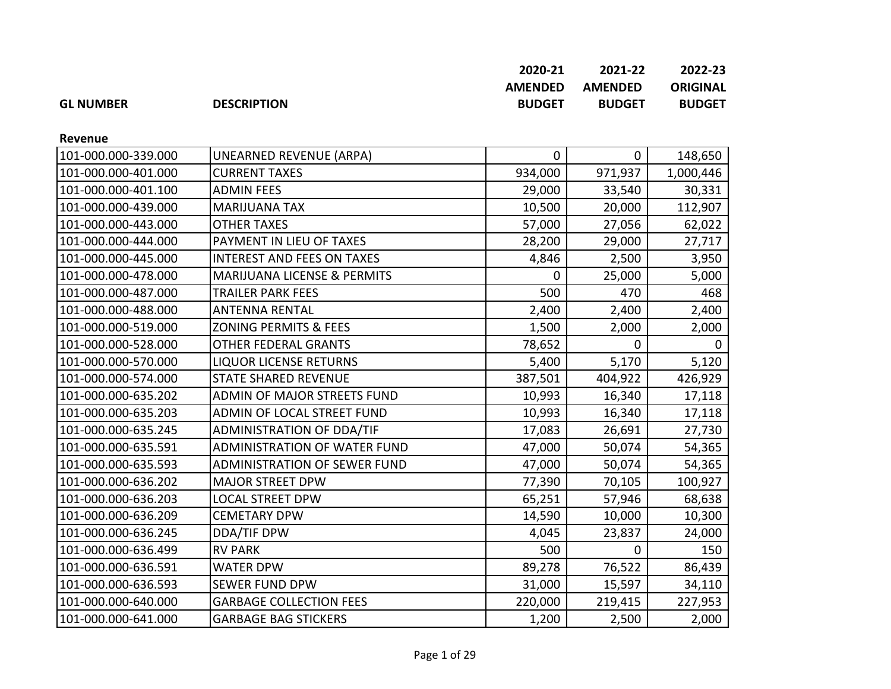|                  |                    | 2020-21        | 2021-22        | 2022-23       |
|------------------|--------------------|----------------|----------------|---------------|
|                  |                    | <b>AMENDED</b> | <b>AMENDED</b> | ORIGINAL      |
| <b>GL NUMBER</b> | <b>DESCRIPTION</b> | <b>BUDGET</b>  | <b>BUDGET</b>  | <b>BUDGET</b> |

**Revenue**

| 101-000.000-339.000 | UNEARNED REVENUE (ARPA)             | $\mathbf 0$ | $\mathbf 0$ | 148,650      |
|---------------------|-------------------------------------|-------------|-------------|--------------|
| 101-000.000-401.000 | <b>CURRENT TAXES</b>                | 934,000     | 971,937     | 1,000,446    |
| 101-000.000-401.100 | <b>ADMIN FEES</b>                   | 29,000      | 33,540      | 30,331       |
| 101-000.000-439.000 | <b>MARIJUANA TAX</b>                | 10,500      | 20,000      | 112,907      |
| 101-000.000-443.000 | <b>OTHER TAXES</b>                  | 57,000      | 27,056      | 62,022       |
| 101-000.000-444.000 | PAYMENT IN LIEU OF TAXES            | 28,200      | 29,000      | 27,717       |
| 101-000.000-445.000 | <b>INTEREST AND FEES ON TAXES</b>   | 4,846       | 2,500       | 3,950        |
| 101-000.000-478.000 | MARIJUANA LICENSE & PERMITS         | 0           | 25,000      | 5,000        |
| 101-000.000-487.000 | <b>TRAILER PARK FEES</b>            | 500         | 470         | 468          |
| 101-000.000-488.000 | <b>ANTENNA RENTAL</b>               | 2,400       | 2,400       | 2,400        |
| 101-000.000-519.000 | <b>ZONING PERMITS &amp; FEES</b>    | 1,500       | 2,000       | 2,000        |
| 101-000.000-528.000 | OTHER FEDERAL GRANTS                | 78,652      | 0           | <sup>0</sup> |
| 101-000.000-570.000 | <b>LIQUOR LICENSE RETURNS</b>       | 5,400       | 5,170       | 5,120        |
| 101-000.000-574.000 | <b>STATE SHARED REVENUE</b>         | 387,501     | 404,922     | 426,929      |
| 101-000.000-635.202 | ADMIN OF MAJOR STREETS FUND         | 10,993      | 16,340      | 17,118       |
| 101-000.000-635.203 | ADMIN OF LOCAL STREET FUND          | 10,993      | 16,340      | 17,118       |
| 101-000.000-635.245 | <b>ADMINISTRATION OF DDA/TIF</b>    | 17,083      | 26,691      | 27,730       |
| 101-000.000-635.591 | <b>ADMINISTRATION OF WATER FUND</b> | 47,000      | 50,074      | 54,365       |
| 101-000.000-635.593 | <b>ADMINISTRATION OF SEWER FUND</b> | 47,000      | 50,074      | 54,365       |
| 101-000.000-636.202 | <b>MAJOR STREET DPW</b>             | 77,390      | 70,105      | 100,927      |
| 101-000.000-636.203 | <b>LOCAL STREET DPW</b>             | 65,251      | 57,946      | 68,638       |
| 101-000.000-636.209 | <b>CEMETARY DPW</b>                 | 14,590      | 10,000      | 10,300       |
| 101-000.000-636.245 | DDA/TIF DPW                         | 4,045       | 23,837      | 24,000       |
| 101-000.000-636.499 | <b>RV PARK</b>                      | 500         | 0           | 150          |
| 101-000.000-636.591 | <b>WATER DPW</b>                    | 89,278      | 76,522      | 86,439       |
| 101-000.000-636.593 | <b>SEWER FUND DPW</b>               | 31,000      | 15,597      | 34,110       |
| 101-000.000-640.000 | <b>GARBAGE COLLECTION FEES</b>      | 220,000     | 219,415     | 227,953      |
| 101-000.000-641.000 | <b>GARBAGE BAG STICKERS</b>         | 1,200       | 2,500       | 2,000        |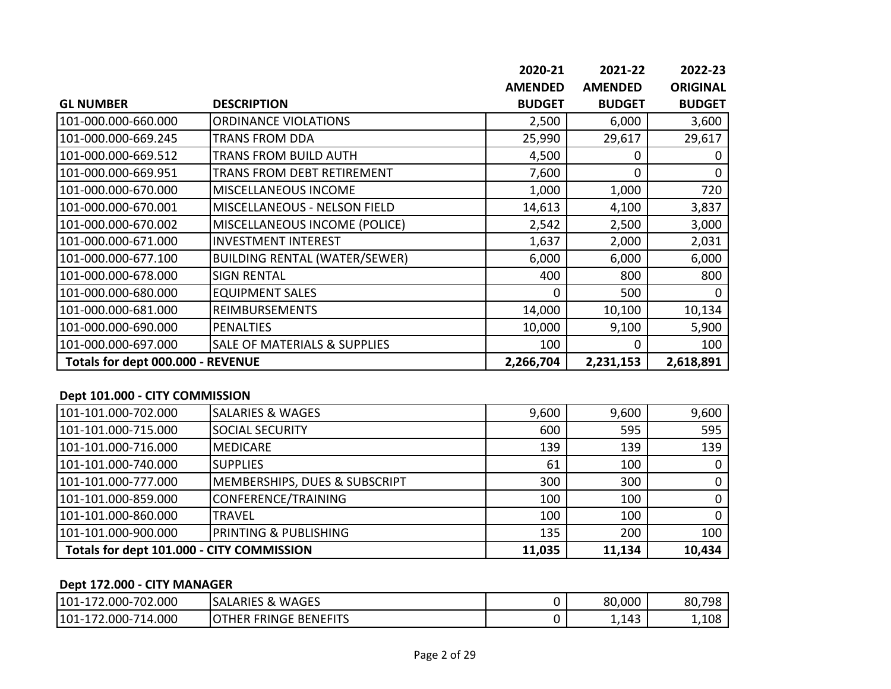|                                   |                                         | 2020-21        | 2021-22        | 2022-23         |
|-----------------------------------|-----------------------------------------|----------------|----------------|-----------------|
|                                   |                                         | <b>AMENDED</b> | <b>AMENDED</b> | <b>ORIGINAL</b> |
| <b>GL NUMBER</b>                  | <b>DESCRIPTION</b>                      | <b>BUDGET</b>  | <b>BUDGET</b>  | <b>BUDGET</b>   |
| 101-000.000-660.000               | <b>ORDINANCE VIOLATIONS</b>             | 2,500          | 6,000          | 3,600           |
| 101-000.000-669.245               | <b>TRANS FROM DDA</b>                   | 25,990         | 29,617         | 29,617          |
| 101-000.000-669.512               | <b>TRANS FROM BUILD AUTH</b>            | 4,500          | 0              |                 |
| 101-000.000-669.951               | TRANS FROM DEBT RETIREMENT              | 7,600          | $\Omega$       | $\Omega$        |
| 101-000.000-670.000               | <b>MISCELLANEOUS INCOME</b>             | 1,000          | 1,000          | 720             |
| 101-000.000-670.001               | MISCELLANEOUS - NELSON FIELD            | 14,613         | 4,100          | 3,837           |
| 101-000.000-670.002               | MISCELLANEOUS INCOME (POLICE)           | 2,542          | 2,500          | 3,000           |
| 101-000.000-671.000               | <b>INVESTMENT INTEREST</b>              | 1,637          | 2,000          | 2,031           |
| 101-000.000-677.100               | <b>BUILDING RENTAL (WATER/SEWER)</b>    | 6,000          | 6,000          | 6,000           |
| 101-000.000-678.000               | <b>SIGN RENTAL</b>                      | 400            | 800            | 800             |
| 101-000.000-680.000               | <b>EQUIPMENT SALES</b>                  | 0              | 500            |                 |
| 101-000.000-681.000               | <b>REIMBURSEMENTS</b>                   | 14,000         | 10,100         | 10,134          |
| 101-000.000-690.000               | <b>PENALTIES</b>                        | 10,000         | 9,100          | 5,900           |
| 101-000.000-697.000               | <b>SALE OF MATERIALS &amp; SUPPLIES</b> | 100            | 0              | 100             |
| Totals for dept 000.000 - REVENUE |                                         | 2,266,704      | 2,231,153      | 2,618,891       |

#### **Dept 101.000 - CITY COMMISSION**

| 101-101.000-702.000                       | <b>SALARIES &amp; WAGES</b>              | 9,600  | 9,600  | 9,600  |
|-------------------------------------------|------------------------------------------|--------|--------|--------|
| 101-101.000-715.000                       | <b>SOCIAL SECURITY</b>                   | 600    | 595    | 595    |
| 101-101.000-716.000                       | <b>MEDICARE</b>                          | 139    | 139    | 139    |
| 101-101.000-740.000                       | <b>SUPPLIES</b>                          | 61     | 100    |        |
| 101-101.000-777.000                       | <b>MEMBERSHIPS, DUES &amp; SUBSCRIPT</b> | 300    | 300    |        |
| 101-101.000-859.000                       | CONFERENCE/TRAINING                      | 100    | 100    |        |
| 101-101.000-860.000                       | <b>TRAVEL</b>                            | 100    | 100    |        |
| 101-101.000-900.000                       | <b>PRINTING &amp; PUBLISHING</b>         | 135    | 200    | 100    |
| Totals for dept 101.000 - CITY COMMISSION |                                          | 11,035 | 11,134 | 10,434 |

# **Dept 172.000 - CITY MANAGER**

| -702.000<br>$2.000 - 7$<br>$101-1$ | <b>WAGES</b><br><b>SALARIES &amp;</b> | 80,000 | 80,7<br>798 |
|------------------------------------|---------------------------------------|--------|-------------|
| $-714.000$<br>72.000-7<br>$101-1$  | <b>BENEFITS</b><br>THER FRINGE        | 1,143  | 1,108       |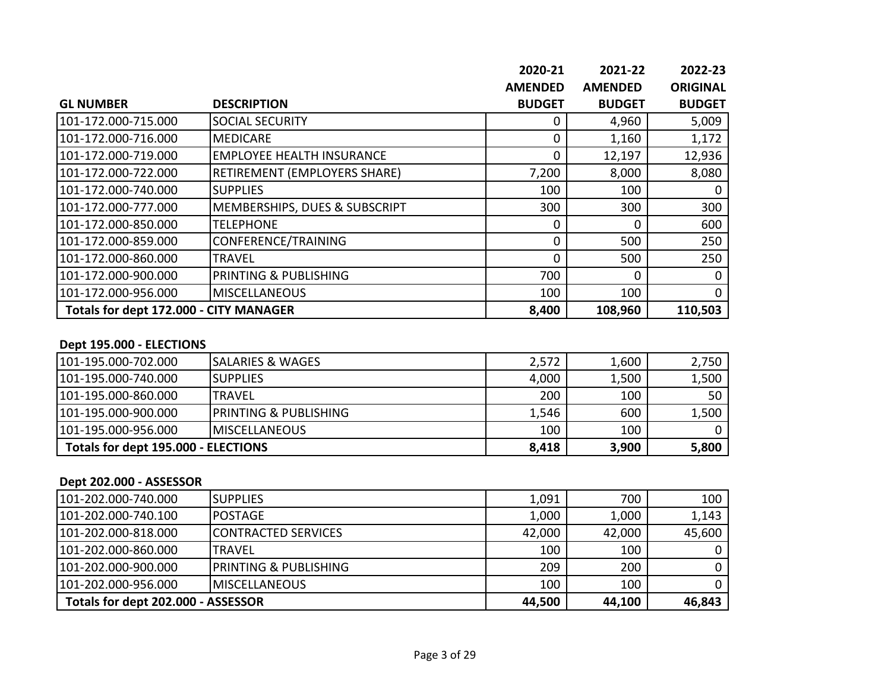|                                        |                                     | 2020-21        | 2021-22        | 2022-23         |
|----------------------------------------|-------------------------------------|----------------|----------------|-----------------|
|                                        |                                     | <b>AMENDED</b> | <b>AMENDED</b> | <b>ORIGINAL</b> |
| <b>GL NUMBER</b>                       | <b>DESCRIPTION</b>                  | <b>BUDGET</b>  | <b>BUDGET</b>  | <b>BUDGET</b>   |
| 101-172.000-715.000                    | <b>SOCIAL SECURITY</b>              | 0              | 4,960          | 5,009           |
| 101-172.000-716.000                    | <b>MEDICARE</b>                     | 0              | 1,160          | 1,172           |
| 101-172.000-719.000                    | <b>EMPLOYEE HEALTH INSURANCE</b>    | $\Omega$       | 12,197         | 12,936          |
| 101-172.000-722.000                    | <b>RETIREMENT (EMPLOYERS SHARE)</b> | 7,200          | 8,000          | 8,080           |
| 101-172.000-740.000                    | <b>SUPPLIES</b>                     | 100            | 100            | 0               |
| 101-172.000-777.000                    | MEMBERSHIPS, DUES & SUBSCRIPT       | 300            | 300            | 300             |
| 101-172.000-850.000                    | <b>TELEPHONE</b>                    | $\Omega$       | $\Omega$       | 600             |
| 101-172.000-859.000                    | CONFERENCE/TRAINING                 | $\Omega$       | 500            | 250             |
| 101-172.000-860.000                    | <b>TRAVEL</b>                       | $\Omega$       | 500            | 250             |
| 101-172.000-900.000                    | <b>PRINTING &amp; PUBLISHING</b>    | 700            | $\Omega$       | 0               |
| 101-172.000-956.000                    | <b>MISCELLANEOUS</b>                | 100            | 100            | $\Omega$        |
| Totals for dept 172.000 - CITY MANAGER |                                     | 8,400          | 108,960        | 110,503         |

#### **Dept 195.000 - ELECTIONS**

| Totals for dept 195.000 - ELECTIONS<br>8,418 |                                   | 3,900 | 5,800 |       |
|----------------------------------------------|-----------------------------------|-------|-------|-------|
| 101-195.000-956.000                          | <b>IMISCELLANEOUS</b>             | 100   | 100   |       |
| 101-195.000-900.000                          | <b>IPRINTING &amp; PUBLISHING</b> | 1,546 | 600   | 1,500 |
| 101-195.000-860.000                          | ITRAVEL                           | 200   | 100   | 50    |
| 101-195.000-740.000                          | <b>ISUPPLIES</b>                  | 4,000 | 1,500 | 1,500 |
| 101-195.000-702.000                          | <b>SALARIES &amp; WAGES</b>       | 2,572 | 1,600 | 2,750 |

### **Dept 202.000 - ASSESSOR**

| 101-202.000-740.000                | <b>I</b> SUPPLIES      | 1,091  | 700    | 100    |
|------------------------------------|------------------------|--------|--------|--------|
| 101-202.000-740.100                | IPOSTAGE               | 1,000  | 1,000  | 1,143  |
| 101-202.000-818.000                | CONTRACTED SERVICES    | 42,000 | 42,000 | 45,600 |
| 101-202.000-860.000                | <b>TRAVEL</b>          | 100    | 100    |        |
| 101-202.000-900.000                | IPRINTING & PUBLISHING | 209    | 200    |        |
| 101-202.000-956.000                | <b>IMISCELLANEOUS</b>  | 100    | 100    |        |
| Totals for dept 202.000 - ASSESSOR |                        | 44,500 | 44,100 | 46,843 |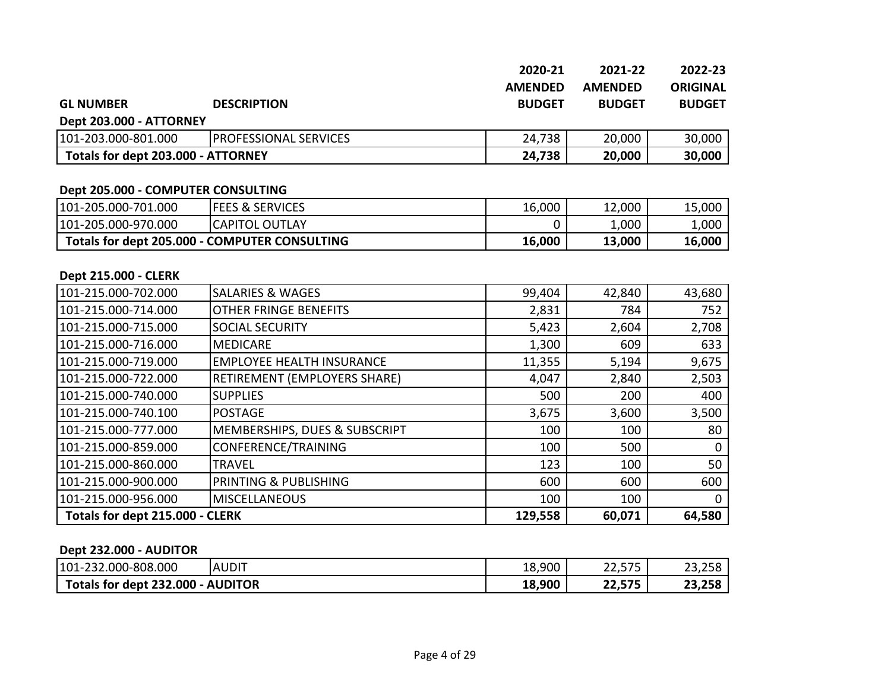|                                    |                              | 2020-21        | 2021-22        | 2022-23         |
|------------------------------------|------------------------------|----------------|----------------|-----------------|
|                                    |                              | <b>AMENDED</b> | <b>AMENDED</b> | <b>ORIGINAL</b> |
| <b>GL NUMBER</b>                   | <b>DESCRIPTION</b>           | <b>BUDGET</b>  | <b>BUDGET</b>  | <b>BUDGET</b>   |
| Dept 203.000 - ATTORNEY            |                              |                |                |                 |
| 101-203.000-801.000                | <b>PROFESSIONAL SERVICES</b> | 24,738         | 20,000         | 30,000          |
| Totals for dept 203.000 - ATTORNEY |                              | 24,738         | 20,000         | 30,000          |

# **Dept 205.000 - COMPUTER CONSULTING**

| 101-205.000-701.000                           | <b>FEES &amp; SERVICES</b> | 16,000 | 12,000 | 15,000                         |
|-----------------------------------------------|----------------------------|--------|--------|--------------------------------|
| 101-205.000-970.000                           | CAPITOL OUTLAY             |        | 000,⊾  | $\mathsf{L}$ ,000 $\mathsf{L}$ |
| Totals for dept 205.000 - COMPUTER CONSULTING |                            | 16,000 | 13,000 | 16,000                         |

#### **Dept 215.000 - CLERK**

| 101-215.000-702.000             | <b>SALARIES &amp; WAGES</b>      | 99,404  | 42,840 | 43,680 |
|---------------------------------|----------------------------------|---------|--------|--------|
| 101-215.000-714.000             | <b>OTHER FRINGE BENEFITS</b>     | 2,831   | 784    | 752    |
| 101-215.000-715.000             | <b>SOCIAL SECURITY</b>           | 5,423   | 2,604  | 2,708  |
| 101-215.000-716.000             | <b>MEDICARE</b>                  | 1,300   | 609    | 633    |
| 101-215.000-719.000             | <b>EMPLOYEE HEALTH INSURANCE</b> | 11,355  | 5,194  | 9,675  |
| 101-215.000-722.000             | RETIREMENT (EMPLOYERS SHARE)     | 4,047   | 2,840  | 2,503  |
| 101-215.000-740.000             | <b>SUPPLIES</b>                  | 500     | 200    | 400    |
| 101-215.000-740.100             | <b>POSTAGE</b>                   | 3,675   | 3,600  | 3,500  |
| 101-215.000-777.000             | MEMBERSHIPS, DUES & SUBSCRIPT    | 100     | 100    | 80     |
| 101-215.000-859.000             | CONFERENCE/TRAINING              | 100     | 500    | 0      |
| 101-215.000-860.000             | <b>TRAVEL</b>                    | 123     | 100    | 50     |
| 101-215.000-900.000             | PRINTING & PUBLISHING            | 600     | 600    | 600    |
| 101-215.000-956.000             | <b>MISCELLANEOUS</b>             | 100     | 100    | 0      |
| Totals for dept 215.000 - CLERK |                                  | 129,558 | 60,071 | 64,580 |

#### **Dept 232.000 - AUDITOR**

| $101 -$<br>-232.000-808.000 | <b>AUDIT</b>   | 18,900 | $\sim$ $\sim$<br>-75<br>22,575 | ົາ<br>$\sim$ $\sim$ $\sim$<br>23,258 |
|-----------------------------|----------------|--------|--------------------------------|--------------------------------------|
| Totals for dept 232.000     | <b>AUDITOR</b> | 18,900 | ີ<br>575<br>22,J <i>i</i> J    | 23,258                               |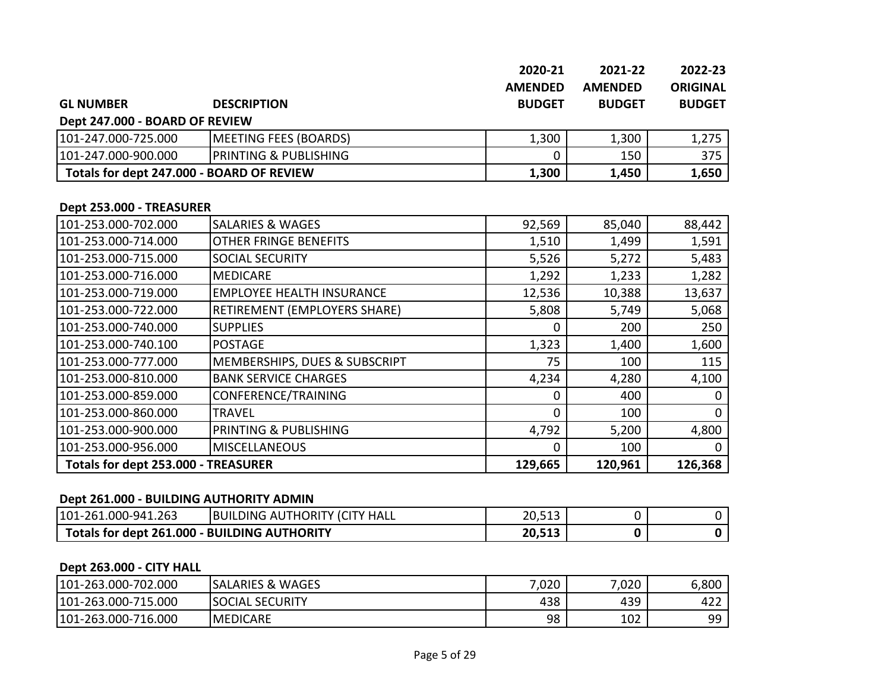|                                           |                                  | 2020-21<br><b>AMENDED</b> | 2021-22<br><b>AMENDED</b> | 2022-23<br><b>ORIGINAL</b> |
|-------------------------------------------|----------------------------------|---------------------------|---------------------------|----------------------------|
| <b>GL NUMBER</b>                          | <b>DESCRIPTION</b>               | <b>BUDGET</b>             | <b>BUDGET</b>             | <b>BUDGET</b>              |
| Dept 247.000 - BOARD OF REVIEW            |                                  |                           |                           |                            |
| 101-247.000-725.000                       | <b>MEETING FEES (BOARDS)</b>     | 1,300                     | 1,300                     | 1,275                      |
| 101-247.000-900.000                       | PRINTING & PUBLISHING            | 0                         | 150                       | 375                        |
| Totals for dept 247.000 - BOARD OF REVIEW |                                  | 1,300                     | 1,450                     | 1,650                      |
| Dept 253.000 - TREASURER                  |                                  |                           |                           |                            |
| 101-253.000-702.000                       | <b>SALARIES &amp; WAGES</b>      | 92,569                    | 85,040                    | 88,442                     |
| 101-253.000-714.000                       | OTHER FRINGE BENEFITS            | 1,510                     | 1,499                     | 1,591                      |
| 101-253.000-715.000                       | SOCIAL SECURITY                  | 5,526                     | 5,272                     | 5,483                      |
| 101-253.000-716.000                       | <b>MEDICARE</b>                  | 1,292                     | 1,233                     | 1,282                      |
| 101-253.000-719.000                       | <b>EMPLOYEE HEALTH INSURANCE</b> | 12,536                    | 10,388                    | 13,637                     |
| 101-253.000-722.000                       | RETIREMENT (EMPLOYERS SHARE)     | 5,808                     | 5,749                     | 5,068                      |
| 101-253.000-740.000                       | <b>SUPPLIES</b>                  | 0                         | 200                       | 250                        |
| 101-253.000-740.100                       | <b>POSTAGE</b>                   | 1,323                     | 1,400                     | 1,600                      |
| 101-253.000-777.000                       | MEMBERSHIPS, DUES & SUBSCRIPT    | 75                        | 100                       | 115                        |
| 101-253.000-810.000                       | <b>BANK SERVICE CHARGES</b>      | 4,234                     | 4,280                     | 4,100                      |
| 101-253.000-859.000                       | CONFERENCE/TRAINING              | 0                         | 400                       | 0                          |
| 101-253.000-860.000                       | <b>TRAVEL</b>                    | 0                         | 100                       | $\Omega$                   |
| 101-253.000-900.000                       | PRINTING & PUBLISHING            | 4,792                     | 5,200                     | 4,800                      |
| 101-253.000-956.000                       | <b>MISCELLANEOUS</b>             | $\mathbf 0$               | 100                       | 0                          |
| Totals for dept 253.000 - TREASURER       |                                  | 129,665                   | 120,961                   | 126,368                    |

#### **Dept 261.000 - BUILDING AUTHORITY ADMIN**

| 101-261.000-941.<br>L.263                           | <b>BUILDING AUTHORITY (CIT)</b><br>' HALL | 20,513           |  |
|-----------------------------------------------------|-------------------------------------------|------------------|--|
| <b>Totals for dept 261,000 - BUILDING AUTHORITY</b> |                                           | 20 F42<br>ZU,515 |  |

### **Dept 263.000 - CITY HALL**

| 101-263.000-702.000 | <b>SALARIES &amp; WAGES</b> | 7,020 | ,020 | 6,800    |
|---------------------|-----------------------------|-------|------|----------|
| 101-263.000-715.000 | <b>SOCIAL SECURITY</b>      | 438   | 439  | 422      |
| 101-263.000-716.000 | MEDICARE                    | 98    | 102  | q۵<br>-- |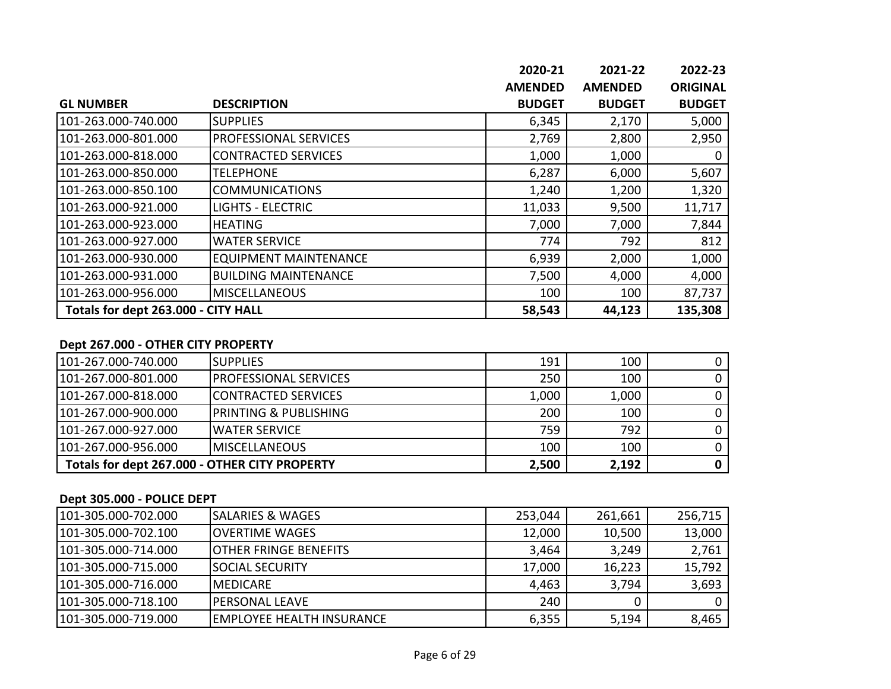|                                     |                              | 2020-21        | 2021-22        | 2022-23         |
|-------------------------------------|------------------------------|----------------|----------------|-----------------|
|                                     |                              | <b>AMENDED</b> | <b>AMENDED</b> | <b>ORIGINAL</b> |
| <b>GL NUMBER</b>                    | <b>DESCRIPTION</b>           | <b>BUDGET</b>  | <b>BUDGET</b>  | <b>BUDGET</b>   |
| 101-263.000-740.000                 | <b>SUPPLIES</b>              | 6,345          | 2,170          | 5,000           |
| 101-263.000-801.000                 | <b>PROFESSIONAL SERVICES</b> | 2,769          | 2,800          | 2,950           |
| 101-263.000-818.000                 | <b>CONTRACTED SERVICES</b>   | 1,000          | 1,000          | 0               |
| 101-263.000-850.000                 | <b>TELEPHONE</b>             | 6,287          | 6,000          | 5,607           |
| 101-263.000-850.100                 | <b>COMMUNICATIONS</b>        | 1,240          | 1,200          | 1,320           |
| 101-263.000-921.000                 | <b>LIGHTS - ELECTRIC</b>     | 11,033         | 9,500          | 11,717          |
| 101-263.000-923.000                 | <b>HEATING</b>               | 7,000          | 7,000          | 7,844           |
| 101-263.000-927.000                 | <b>WATER SERVICE</b>         | 774            | 792            | 812             |
| 101-263.000-930.000                 | <b>EQUIPMENT MAINTENANCE</b> | 6,939          | 2,000          | 1,000           |
| 101-263.000-931.000                 | <b>BUILDING MAINTENANCE</b>  | 7,500          | 4,000          | 4,000           |
| 101-263.000-956.000                 | <b>MISCELLANEOUS</b>         | 100            | 100            | 87,737          |
| Totals for dept 263.000 - CITY HALL |                              | 58,543         | 44,123         | 135,308         |

#### **Dept 267.000 - OTHER CITY PROPERTY**

| 101-267.000-740.000                           | <b>ISUPPLIES</b>                  | 191   | 100   |  |
|-----------------------------------------------|-----------------------------------|-------|-------|--|
| 101-267.000-801.000                           | <b>IPROFESSIONAL SERVICES</b>     | 250   | 100   |  |
| 101-267.000-818.000                           | <b>ICONTRACTED SERVICES</b>       | 1,000 | 1,000 |  |
| 101-267.000-900.000                           | <b>IPRINTING &amp; PUBLISHING</b> | 200   | 100   |  |
| 101-267.000-927.000                           | <b>IWATER SERVICE</b>             | 759   | 792   |  |
| 101-267.000-956.000                           | <b>IMISCELLANEOUS</b>             | 100   | 100   |  |
| Totals for dept 267.000 - OTHER CITY PROPERTY |                                   | 2,500 | 2,192 |  |

#### **Dept 305.000 - POLICE DEPT**

| 101-305.000-702.000 | <b>ISALARIES &amp; WAGES</b>      | 253,044 | 261,661 | 256,715 |
|---------------------|-----------------------------------|---------|---------|---------|
| 101-305.000-702.100 | <b>IOVERTIME WAGES</b>            | 12,000  | 10,500  | 13,000  |
| 101-305.000-714.000 | <b>IOTHER FRINGE BENEFITS</b>     | 3,464   | 3,249   | 2,761   |
| 101-305.000-715.000 | <b>ISOCIAL SECURITY</b>           | 17,000  | 16,223  | 15,792  |
| 101-305.000-716.000 | <b>IMEDICARE</b>                  | 4,463   | 3,794   | 3,693   |
| 101-305.000-718.100 | <b>IPERSONAL LEAVE</b>            | 240     |         |         |
| 101-305.000-719.000 | <b>IEMPLOYEE HEALTH INSURANCE</b> | 6,355   | 5,194   | 8,465   |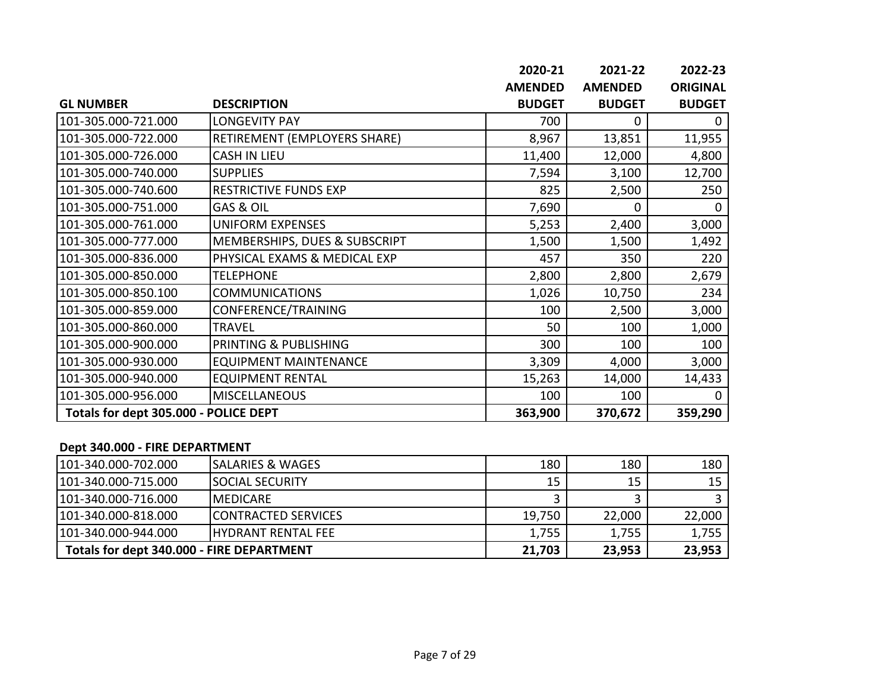|                                       |                               | 2020-21        | 2021-22        | 2022-23         |
|---------------------------------------|-------------------------------|----------------|----------------|-----------------|
|                                       |                               | <b>AMENDED</b> | <b>AMENDED</b> | <b>ORIGINAL</b> |
| <b>GL NUMBER</b>                      | <b>DESCRIPTION</b>            | <b>BUDGET</b>  | <b>BUDGET</b>  | <b>BUDGET</b>   |
| 101-305.000-721.000                   | <b>LONGEVITY PAY</b>          | 700            | 0              | $\mathbf{0}$    |
| 101-305.000-722.000                   | RETIREMENT (EMPLOYERS SHARE)  | 8,967          | 13,851         | 11,955          |
| 101-305.000-726.000                   | <b>CASH IN LIEU</b>           | 11,400         | 12,000         | 4,800           |
| 101-305.000-740.000                   | <b>SUPPLIES</b>               | 7,594          | 3,100          | 12,700          |
| 101-305.000-740.600                   | <b>RESTRICTIVE FUNDS EXP</b>  | 825            | 2,500          | 250             |
| 101-305.000-751.000                   | GAS & OIL                     | 7,690          | 0              | <sup>0</sup>    |
| 101-305.000-761.000                   | <b>UNIFORM EXPENSES</b>       | 5,253          | 2,400          | 3,000           |
| 101-305.000-777.000                   | MEMBERSHIPS, DUES & SUBSCRIPT | 1,500          | 1,500          | 1,492           |
| 101-305.000-836.000                   | PHYSICAL EXAMS & MEDICAL EXP  | 457            | 350            | 220             |
| 101-305.000-850.000                   | <b>TELEPHONE</b>              | 2,800          | 2,800          | 2,679           |
| 101-305.000-850.100                   | <b>COMMUNICATIONS</b>         | 1,026          | 10,750         | 234             |
| 101-305.000-859.000                   | CONFERENCE/TRAINING           | 100            | 2,500          | 3,000           |
| 101-305.000-860.000                   | <b>TRAVEL</b>                 | 50             | 100            | 1,000           |
| 101-305.000-900.000                   | PRINTING & PUBLISHING         | 300            | 100            | 100             |
| 101-305.000-930.000                   | <b>EQUIPMENT MAINTENANCE</b>  | 3,309          | 4,000          | 3,000           |
| 101-305.000-940.000                   | <b>EQUIPMENT RENTAL</b>       | 15,263         | 14,000         | 14,433          |
| 101-305.000-956.000                   | <b>MISCELLANEOUS</b>          | 100            | 100            |                 |
| Totals for dept 305.000 - POLICE DEPT |                               | 363,900        | 370,672        | 359,290         |

#### **Dept 340.000 - FIRE DEPARTMENT**

| 101-340.000-702.000                       | <b>SALARIES &amp; WAGES</b> | 180    | 180    | 180    |
|-------------------------------------------|-----------------------------|--------|--------|--------|
| 101-340.000-715.000                       | <b>ISOCIAL SECURITY</b>     | 15     | 15     | 15     |
| 101-340.000-716.000                       | <b>IMEDICARE</b>            |        |        |        |
| 101-340.000-818.000                       | <b>CONTRACTED SERVICES</b>  | 19,750 | 22,000 | 22,000 |
| 101-340.000-944.000                       | <b>IHYDRANT RENTAL FEE</b>  | 1,755  | 1,755  | 1,755  |
| Totals for dept 340.000 - FIRE DEPARTMENT |                             | 21,703 | 23,953 | 23,953 |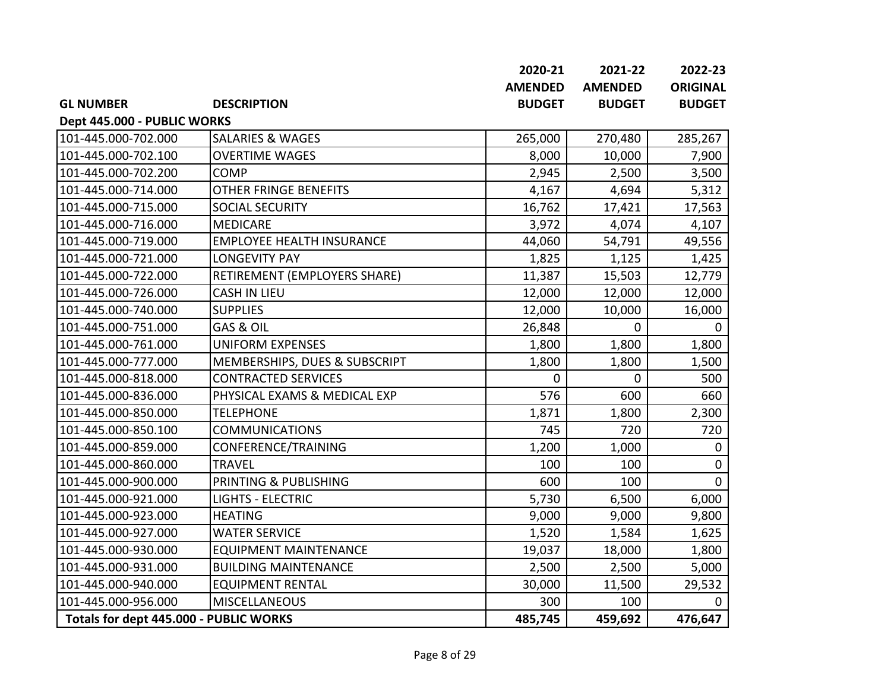|                                        |                                  | 2020-21        | 2021-22        | 2022-23         |
|----------------------------------------|----------------------------------|----------------|----------------|-----------------|
|                                        |                                  | <b>AMENDED</b> | <b>AMENDED</b> | <b>ORIGINAL</b> |
| <b>GL NUMBER</b>                       | <b>DESCRIPTION</b>               | <b>BUDGET</b>  | <b>BUDGET</b>  | <b>BUDGET</b>   |
| Dept 445.000 - PUBLIC WORKS            |                                  |                |                |                 |
| 101-445.000-702.000                    | <b>SALARIES &amp; WAGES</b>      | 265,000        | 270,480        | 285,267         |
| 101-445.000-702.100                    | <b>OVERTIME WAGES</b>            | 8,000          | 10,000         | 7,900           |
| 101-445.000-702.200                    | <b>COMP</b>                      | 2,945          | 2,500          | 3,500           |
| 101-445.000-714.000                    | <b>OTHER FRINGE BENEFITS</b>     | 4,167          | 4,694          | 5,312           |
| 101-445.000-715.000                    | <b>SOCIAL SECURITY</b>           | 16,762         | 17,421         | 17,563          |
| 101-445.000-716.000                    | <b>MEDICARE</b>                  | 3,972          | 4,074          | 4,107           |
| 101-445.000-719.000                    | <b>EMPLOYEE HEALTH INSURANCE</b> | 44,060         | 54,791         | 49,556          |
| 101-445.000-721.000                    | <b>LONGEVITY PAY</b>             | 1,825          | 1,125          | 1,425           |
| 101-445.000-722.000                    | RETIREMENT (EMPLOYERS SHARE)     | 11,387         | 15,503         | 12,779          |
| 101-445.000-726.000                    | <b>CASH IN LIEU</b>              | 12,000         | 12,000         | 12,000          |
| 101-445.000-740.000                    | <b>SUPPLIES</b>                  | 12,000         | 10,000         | 16,000          |
| 101-445.000-751.000                    | <b>GAS &amp; OIL</b>             | 26,848         | 0              | $\mathbf 0$     |
| 101-445.000-761.000                    | <b>UNIFORM EXPENSES</b>          | 1,800          | 1,800          | 1,800           |
| 101-445.000-777.000                    | MEMBERSHIPS, DUES & SUBSCRIPT    | 1,800          | 1,800          | 1,500           |
| 101-445.000-818.000                    | <b>CONTRACTED SERVICES</b>       | $\mathbf 0$    | 0              | 500             |
| 101-445.000-836.000                    | PHYSICAL EXAMS & MEDICAL EXP     | 576            | 600            | 660             |
| 101-445.000-850.000                    | <b>TELEPHONE</b>                 | 1,871          | 1,800          | 2,300           |
| 101-445.000-850.100                    | <b>COMMUNICATIONS</b>            | 745            | 720            | 720             |
| 101-445.000-859.000                    | CONFERENCE/TRAINING              | 1,200          | 1,000          | $\mathbf 0$     |
| 101-445.000-860.000                    | <b>TRAVEL</b>                    | 100            | 100            | 0               |
| 101-445.000-900.000                    | PRINTING & PUBLISHING            | 600            | 100            | 0               |
| 101-445.000-921.000                    | <b>LIGHTS - ELECTRIC</b>         | 5,730          | 6,500          | 6,000           |
| 101-445.000-923.000                    | <b>HEATING</b>                   | 9,000          | 9,000          | 9,800           |
| 101-445.000-927.000                    | <b>WATER SERVICE</b>             | 1,520          | 1,584          | 1,625           |
| 101-445.000-930.000                    | <b>EQUIPMENT MAINTENANCE</b>     | 19,037         | 18,000         | 1,800           |
| 101-445.000-931.000                    | <b>BUILDING MAINTENANCE</b>      | 2,500          | 2,500          | 5,000           |
| 101-445.000-940.000                    | <b>EQUIPMENT RENTAL</b>          | 30,000         | 11,500         | 29,532          |
| 101-445.000-956.000                    | <b>MISCELLANEOUS</b>             | 300            | 100            | 0               |
| Totals for dept 445.000 - PUBLIC WORKS |                                  | 485,745        | 459,692        | 476,647         |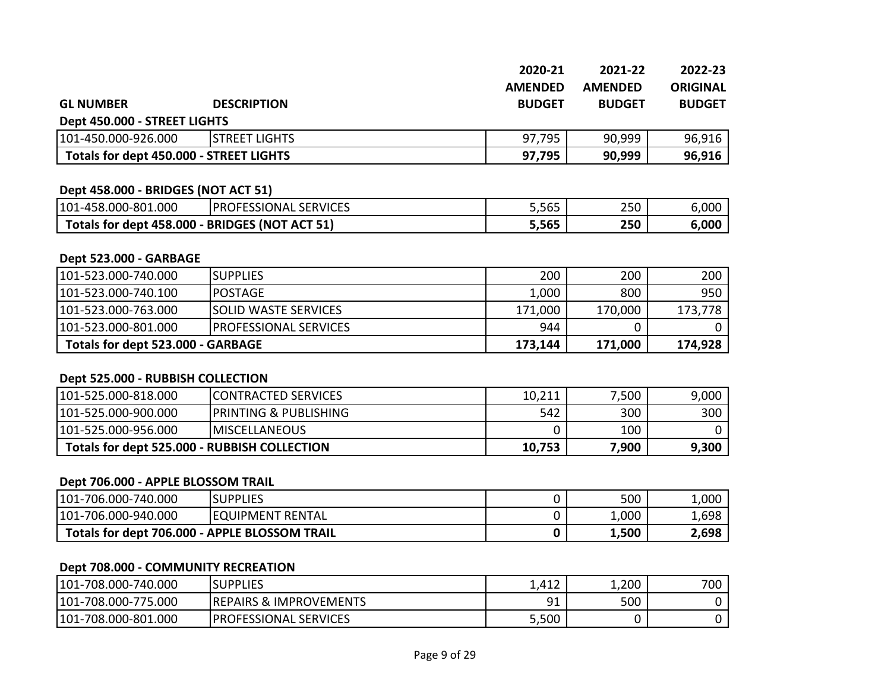|                                         |                              | 2020-21        | 2021-22        | 2022-23         |
|-----------------------------------------|------------------------------|----------------|----------------|-----------------|
|                                         |                              | <b>AMENDED</b> | <b>AMENDED</b> | <b>ORIGINAL</b> |
| <b>GL NUMBER</b>                        | <b>DESCRIPTION</b>           | <b>BUDGET</b>  | <b>BUDGET</b>  | <b>BUDGET</b>   |
| Dept 450.000 - STREET LIGHTS            |                              |                |                |                 |
| 101-450.000-926.000                     | <b>STREET LIGHTS</b>         | 97,795         | 90,999         | 96,916          |
| Totals for dept 450.000 - STREET LIGHTS |                              | 97,795         | 90,999         | 96,916          |
|                                         |                              |                |                |                 |
| Dept 458.000 - BRIDGES (NOT ACT 51)     |                              |                |                |                 |
| 101-458.000-801.000                     | <b>PROFESSIONAL SERVICES</b> | 5,565          | 250            | 6,000           |

| I 101-458.UUU-801.UUU     | TPROFESSIONAL SERVICES        | כסכ,כ | 25U | ა.∪∪∪ |
|---------------------------|-------------------------------|-------|-----|-------|
| Totals for dept 458.000 - | <b>- BRIDGES (NOT ACT 51)</b> | 5,565 | 250 | 6,000 |

#### **Dept 523.000 - GARBAGE**

| 101-523.000-740.000               | ISUPPLIES                     | 200     | 200     | 200     |
|-----------------------------------|-------------------------------|---------|---------|---------|
| 101-523.000-740.100               | IPOSTAGE                      | 1,000   | 800     | 950     |
| 101-523.000-763.000               | <b>ISOLID WASTE SERVICES</b>  | 171,000 | 170,000 | 173,778 |
| 101-523.000-801.000               | <b>IPROFESSIONAL SERVICES</b> | 944     |         |         |
| Totals for dept 523.000 - GARBAGE |                               | 173,144 | 171,000 | 174,928 |

#### **Dept 525.000 - RUBBISH COLLECTION**

| 101-525.000-818.000                          | <b>ICONTRACTED SERVICES</b>      | 10,211 | 7,500 | 9,000 |
|----------------------------------------------|----------------------------------|--------|-------|-------|
| 101-525.000-900.000                          | <b>PRINTING &amp; PUBLISHING</b> | 542    | 300   | 300   |
| 101-525.000-956.000                          | <b>IMISCELLANEOUS</b>            |        | 100   |       |
| Totals for dept 525.000 - RUBBISH COLLECTION |                                  | 10,753 | 900,' | 9,300 |

#### **Dept 706.000 - APPLE BLOSSOM TRAIL**

| 101-706.000-740.000                           | <b>SUPPLIES</b>          | 500   | 1,000 |
|-----------------------------------------------|--------------------------|-------|-------|
| 101-706.000-940.000                           | <b>IEQUIPMENT RENTAL</b> | ,000  | 1,698 |
| Totals for dept 706.000 - APPLE BLOSSOM TRAIL |                          | 1,500 | 2,698 |

#### **Dept 708.000 - COMMUNITY RECREATION**

| 101-708.000-740.000 | <b>SUPPLIES</b>                   | 1,412                         | 1,200 | 700 |
|---------------------|-----------------------------------|-------------------------------|-------|-----|
| 101-708.000-775.000 | <b>REPAIRS &amp; IMPROVEMENTS</b> | Q <sub>1</sub><br><u>- - </u> | 500   |     |
| 101-708.000-801.000 | PROFESSIONAL<br>. SERVICES        | 5,500                         |       |     |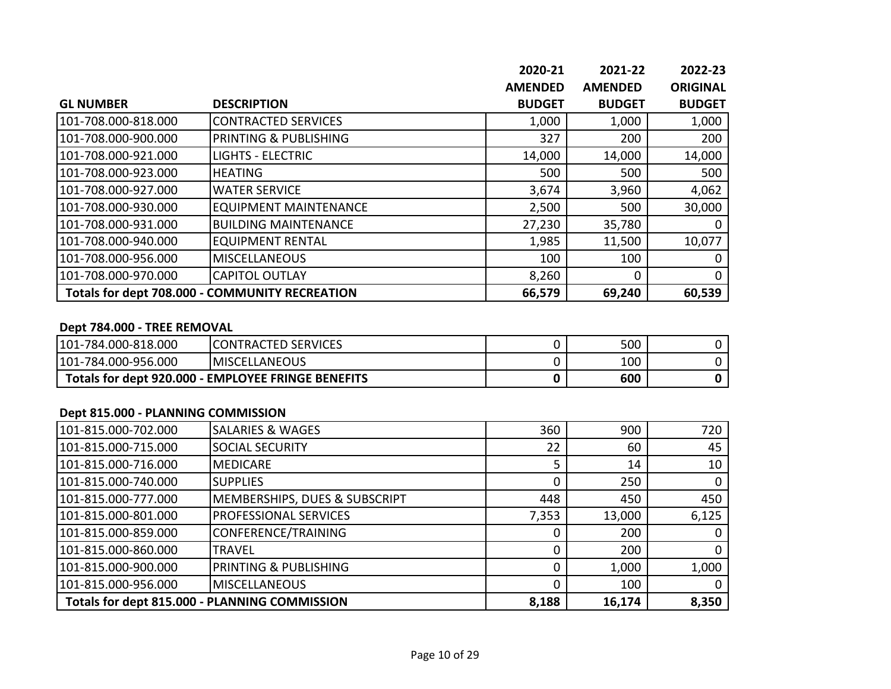|                     |                                                | 2020-21        | 2021-22        | 2022-23         |
|---------------------|------------------------------------------------|----------------|----------------|-----------------|
|                     |                                                | <b>AMENDED</b> | <b>AMENDED</b> | <b>ORIGINAL</b> |
| <b>GL NUMBER</b>    | <b>DESCRIPTION</b>                             | <b>BUDGET</b>  | <b>BUDGET</b>  | <b>BUDGET</b>   |
| 101-708.000-818.000 | <b>CONTRACTED SERVICES</b>                     | 1,000          | 1,000          | 1,000           |
| 101-708.000-900.000 | PRINTING & PUBLISHING                          | 327            | 200            | 200             |
| 101-708.000-921.000 | <b>LIGHTS - ELECTRIC</b>                       | 14,000         | 14,000         | 14,000          |
| 101-708.000-923.000 | <b>HEATING</b>                                 | 500            | 500            | 500             |
| 101-708.000-927.000 | <b>WATER SERVICE</b>                           | 3,674          | 3,960          | 4,062           |
| 101-708.000-930.000 | <b>EQUIPMENT MAINTENANCE</b>                   | 2,500          | 500            | 30,000          |
| 101-708.000-931.000 | <b>BUILDING MAINTENANCE</b>                    | 27,230         | 35,780         |                 |
| 101-708.000-940.000 | <b>EQUIPMENT RENTAL</b>                        | 1,985          | 11,500         | 10,077          |
| 101-708.000-956.000 | <b>MISCELLANEOUS</b>                           | 100            | 100            |                 |
| 101-708.000-970.000 | <b>CAPITOL OUTLAY</b>                          | 8,260          | $\Omega$       | $\Omega$        |
|                     | Totals for dept 708.000 - COMMUNITY RECREATION | 66,579         | 69,240         | 60,539          |

#### **Dept 784.000 - TREE REMOVAL**

| 101-784.000-818.000                                | <b>ICONTRACTED SERVICES</b> | 500 |  |
|----------------------------------------------------|-----------------------------|-----|--|
| 101-784.000-956.000                                | <b>IMISCELLANEOUS</b>       | 100 |  |
| Totals for dept 920.000 - EMPLOYEE FRINGE BENEFITS |                             | 600 |  |

#### **Dept 815.000 - PLANNING COMMISSION**

| 101-815.000-702.000 | <b>SALARIES &amp; WAGES</b>                   | 360   | 900    | 720   |
|---------------------|-----------------------------------------------|-------|--------|-------|
| 101-815.000-715.000 | <b>SOCIAL SECURITY</b>                        | 22    | 60     | 45    |
| 101-815.000-716.000 | <b>MEDICARE</b>                               |       | 14     | 10    |
| 101-815.000-740.000 | <b>SUPPLIES</b>                               |       | 250    |       |
| 101-815.000-777.000 | MEMBERSHIPS, DUES & SUBSCRIPT                 | 448   | 450    | 450   |
| 101-815.000-801.000 | PROFESSIONAL SERVICES                         | 7,353 | 13,000 | 6,125 |
| 101-815.000-859.000 | CONFERENCE/TRAINING                           |       | 200    |       |
| 101-815.000-860.000 | TRAVEL                                        |       | 200    |       |
| 101-815.000-900.000 | PRINTING & PUBLISHING                         |       | 1,000  | 1,000 |
| 101-815.000-956.000 | <b>MISCELLANEOUS</b>                          |       | 100    |       |
|                     | Totals for dept 815.000 - PLANNING COMMISSION | 8,188 | 16,174 | 8,350 |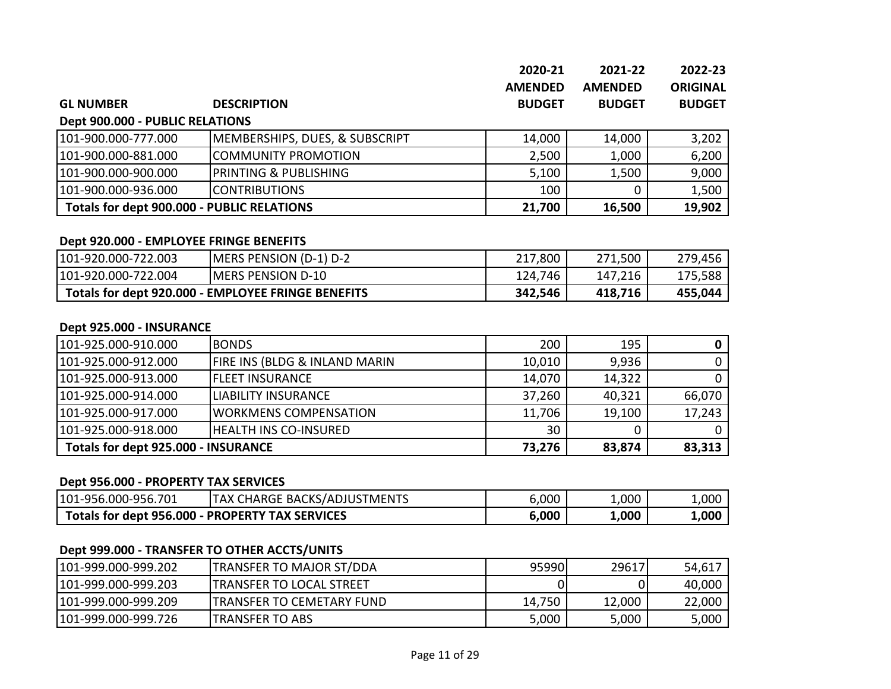|                                 |                                            | 2020-21        | 2021-22        | 2022-23         |
|---------------------------------|--------------------------------------------|----------------|----------------|-----------------|
|                                 |                                            | <b>AMENDED</b> | <b>AMENDED</b> | <b>ORIGINAL</b> |
| <b>GL NUMBER</b>                | <b>DESCRIPTION</b>                         | <b>BUDGET</b>  | <b>BUDGET</b>  | <b>BUDGET</b>   |
| Dept 900.000 - PUBLIC RELATIONS |                                            |                |                |                 |
| 101-900.000-777.000             | <b>MEMBERSHIPS, DUES, &amp; SUBSCRIPT</b>  | 14,000         | 14,000         | 3,202           |
| 101-900.000-881.000             | COMMUNITY PROMOTION                        | 2,500          | 1,000          | 6,200           |
| 101-900.000-900.000             | IPRINTING & PUBLISHING                     | 5,100          | 1,500          | 9,000           |
| 101-900.000-936.000             | <b>CONTRIBUTIONS</b>                       | 100            | 0              | 1,500           |
|                                 | Totals for dept 900.000 - PUBLIC RELATIONS |                | 16,500         | 19,902          |

#### **Dept 920.000 - EMPLOYEE FRINGE BENEFITS**

| 101-920.000-722.003                                | <b>MERS PENSION (D-1) D-2</b> | 217,800 | 271,500 | 279,456 |
|----------------------------------------------------|-------------------------------|---------|---------|---------|
| 101-920.000-722.004                                | <b>IMERS PENSION D-10</b>     | 124,746 | 147,216 | 175,588 |
| Totals for dept 920.000 - EMPLOYEE FRINGE BENEFITS |                               | 342,546 | 418,716 | 455,044 |

#### **Dept 925.000 - INSURANCE**

| 101-925.000-910.000                 | <b>BONDS</b>                             | 200    | 195    |        |
|-------------------------------------|------------------------------------------|--------|--------|--------|
| 101-925.000-912.000                 | <b>FIRE INS (BLDG &amp; INLAND MARIN</b> | 10,010 | 9,936  |        |
| 101-925.000-913.000                 | <b>IFLEET INSURANCE</b>                  | 14,070 | 14,322 |        |
| 101-925.000-914.000                 | <b>ILIABILITY INSURANCE</b>              | 37,260 | 40,321 | 66,070 |
| 101-925.000-917.000                 | <b>WORKMENS COMPENSATION</b>             | 11,706 | 19,100 | 17,243 |
| 101-925.000-918.000                 | <b>HEALTH INS CO-INSURED</b>             | 30     |        |        |
| Totals for dept 925.000 - INSURANCE |                                          | 73,276 | 83,874 | 83,313 |

#### **Dept 956.000 - PROPERTY TAX SERVICES**

| 101-956.000-956.701                             | <b>TAX CHARGE BACKS/ADJUSTMENTS</b> | 6,000 | 1,000 | 1,000 |
|-------------------------------------------------|-------------------------------------|-------|-------|-------|
| Totals for dept 956.000 - PROPERTY TAX SERVICES |                                     | 6,000 | 000.∡ | 1,000 |

# **Dept 999.000 - TRANSFER TO OTHER ACCTS/UNITS**

| 101-999.000-999.202 | <b>TRANSFER TO MAJOR ST/DDA</b>   | 959901 | 29617  | 54,617 |
|---------------------|-----------------------------------|--------|--------|--------|
| 101-999.000-999.203 | <b>ITRANSFER TO LOCAL STREET</b>  |        |        | 40,000 |
| 101-999.000-999.209 | <b>ITRANSFER TO CEMETARY FUND</b> | 14,750 | 12,000 | 22,000 |
| 101-999.000-999.726 | ITRANSFER TO ABS                  | 5,000  | 5,000  | 5,000  |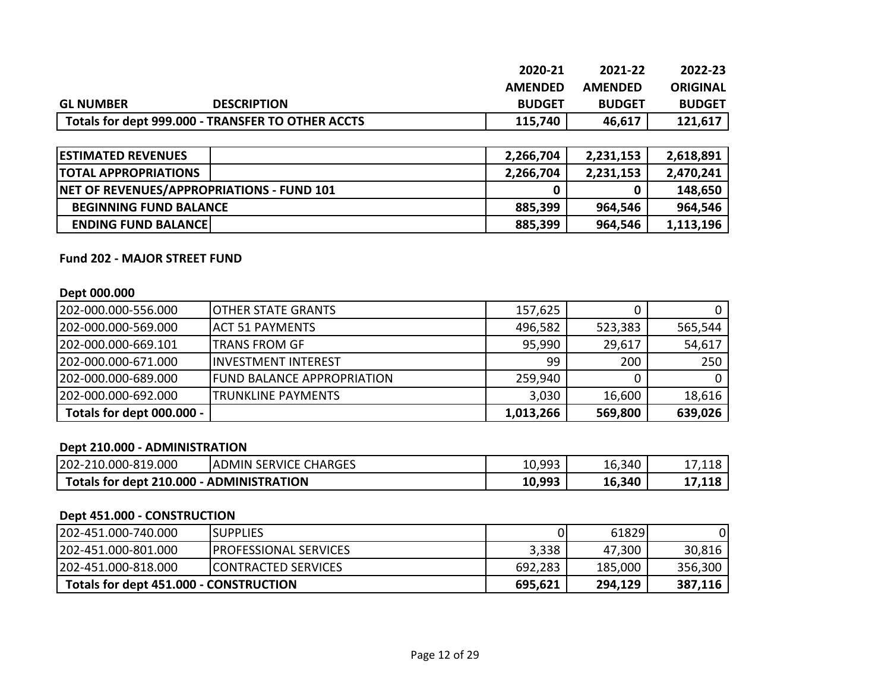|                  |                                                   | 2020-21        | 2021-22        | 2022-23         |
|------------------|---------------------------------------------------|----------------|----------------|-----------------|
|                  |                                                   | <b>AMENDED</b> | <b>AMENDED</b> | <b>ORIGINAL</b> |
| <b>GL NUMBER</b> | <b>DESCRIPTION</b>                                | <b>BUDGET</b>  | <b>BUDGET</b>  | <b>BUDGET</b>   |
|                  | Totals for dept 999.000 - TRANSFER TO OTHER ACCTS | 115,740        | 46,617         | 121,617         |

| <b>ESTIMATED REVENUES</b>                 | 2,266,704 | 2,231,153 | 2,618,891 |
|-------------------------------------------|-----------|-----------|-----------|
| <b>TOTAL APPROPRIATIONS</b>               | 2,266,704 | 2,231,153 | 2,470,241 |
| NET OF REVENUES/APPROPRIATIONS - FUND 101 |           |           | 148,650   |
| <b>BEGINNING FUND BALANCE</b>             | 885,399   | 964,546   | 964,546   |
| <b>ENDING FUND BALANCE</b>                | 885,399   | 964,546   | 1,113,196 |

#### **Fund 202 - MAJOR STREET FUND**

#### **Dept 000.000**

| 202-000.000-556.000       | <b>IOTHER STATE GRANTS</b>  | 157,625   |         |         |
|---------------------------|-----------------------------|-----------|---------|---------|
| 202-000.000-569.000       | <b>JACT 51 PAYMENTS</b>     | 496,582   | 523,383 | 565,544 |
| 202-000.000-669.101       | <b>TRANS FROM GF</b>        | 95,990    | 29,617  | 54,617  |
| 202-000.000-671.000       | <b>IINVESTMENT INTEREST</b> | 99        | 200     | 250     |
| 202-000.000-689.000       | IFUND BALANCE APPROPRIATION | 259,940   |         |         |
| 202-000.000-692.000       | <b>TRUNKLINE PAYMENTS</b>   | 3,030     | 16,600  | 18,616  |
| Totals for dept 000.000 - |                             | 1,013,266 | 569,800 | 639,026 |

# **Dept 210.000 - ADMINISTRATION**

| $202 - 2$<br>0.000-819.000<br>-107                   | <b>CHARGES</b><br><b>SERVICE</b><br><b>ADMIN</b> | 10,993 | 16,340 | ,110                         |
|------------------------------------------------------|--------------------------------------------------|--------|--------|------------------------------|
| Totals for dept 210.000<br><b>J - ADMINISTRATION</b> |                                                  | 10,993 | 16,340 | <b>440</b><br>$\sim$<br>,110 |

#### **Dept 451.000 - CONSTRUCTION**

| 202-451.000-740.000                    | ISUPPLIES                     |         | 61829   |         |
|----------------------------------------|-------------------------------|---------|---------|---------|
| 202-451.000-801.000                    | <b>IPROFESSIONAL SERVICES</b> | 3,338   | 47,300  | 30,816  |
| 202-451.000-818.000                    | <b>ICONTRACTED SERVICES</b>   | 692,283 | 185,000 | 356,300 |
| Totals for dept 451.000 - CONSTRUCTION |                               | 695,621 | 294,129 | 387,116 |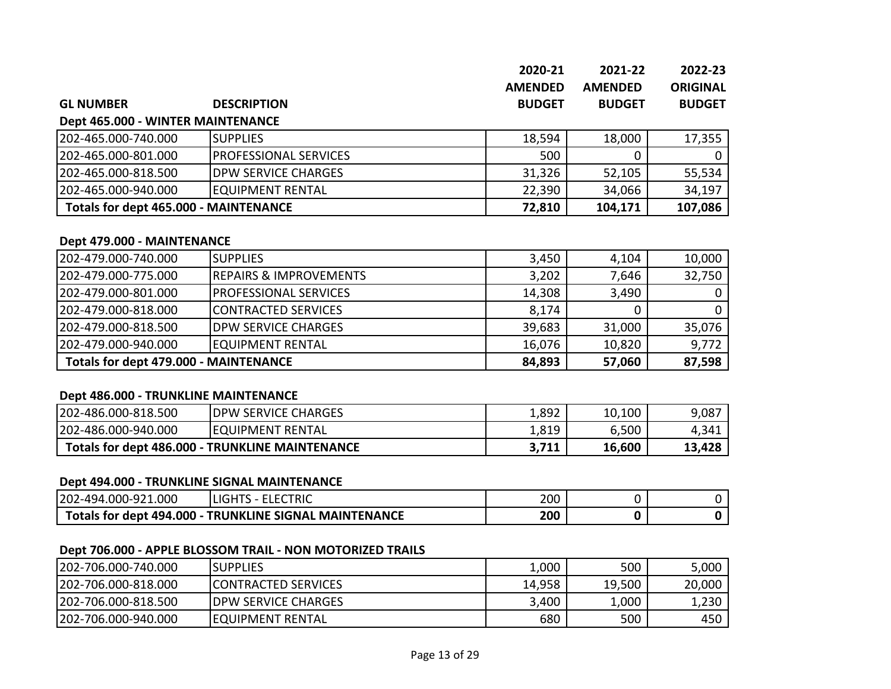|                                              |                            | 2020-21<br><b>AMENDED</b> | 2021-22<br><b>AMENDED</b> | 2022-23<br><b>ORIGINAL</b> |
|----------------------------------------------|----------------------------|---------------------------|---------------------------|----------------------------|
| <b>GL NUMBER</b>                             | <b>DESCRIPTION</b>         | <b>BUDGET</b>             | <b>BUDGET</b>             | <b>BUDGET</b>              |
| Dept 465.000 - WINTER MAINTENANCE            |                            |                           |                           |                            |
| 202-465.000-740.000                          | <b>SUPPLIES</b>            | 18,594                    | 18,000                    | 17,355                     |
| 202-465.000-801.000                          | PROFESSIONAL SERVICES      | 500                       |                           | $\mathbf 0$                |
| 202-465.000-818.500                          | <b>DPW SERVICE CHARGES</b> | 31,326                    | 52,105                    | 55,534                     |
| 202-465.000-940.000                          | <b>EQUIPMENT RENTAL</b>    | 22,390                    | 34,066                    | 34,197                     |
| <b>Totals for dept 465.000 - MAINTENANCE</b> |                            | 72,810                    | 104,171                   | 107,086                    |

#### **Dept 479.000 - MAINTENANCE**

| 1202-479.000-740.000                         | <b>SUPPLIES</b>                    | 3,450  | 4,104  | 10,000 |
|----------------------------------------------|------------------------------------|--------|--------|--------|
| 202-479.000-775.000                          | <b>IREPAIRS &amp; IMPROVEMENTS</b> | 3,202  | 7,646  | 32,750 |
| 1202-479.000-801.000                         | <b>IPROFESSIONAL SERVICES</b>      | 14,308 | 3,490  |        |
| 202-479.000-818.000                          | CONTRACTED SERVICES                | 8,174  |        |        |
| 1202-479.000-818.500                         | <b>IDPW SERVICE CHARGES</b>        | 39,683 | 31,000 | 35,076 |
| 202-479.000-940.000                          | <b>EQUIPMENT RENTAL</b>            | 16,076 | 10,820 | 9,772  |
| <b>Totals for dept 479.000 - MAINTENANCE</b> |                                    | 84,893 | 57,060 | 87,598 |

# **Dept 486.000 - TRUNKLINE MAINTENANCE**

| 202-486.000-818.500                             | <b>IDPW SERVICE CHARGES</b> | 1,892 | 10,100 | 9,087  |
|-------------------------------------------------|-----------------------------|-------|--------|--------|
| 202-486.000-940.000                             | <b>IEQUIPMENT RENTAL</b>    | 1,819 | 6,500  | 4,341  |
| Totals for dept 486.000 - TRUNKLINE MAINTENANCE |                             | 3,711 | 16,600 | 13,428 |

#### **Dept 494.000 - TRUNKLINE SIGNAL MAINTENANCE**

| 202-494.<br>.000<br>' 000-92                                                              | .LECTRIC | 200 |  |
|-------------------------------------------------------------------------------------------|----------|-----|--|
| Totals for dept 494.<br>.000.<br><b>_ MAINTENANCF</b><br><b>SIGNA</b><br><b>TRUNKLINE</b> |          | 200 |  |

# **Dept 706.000 - APPLE BLOSSOM TRAIL - NON MOTORIZED TRAILS**

| 202-706.000-740.000  | <b>ISUPPLIES</b>            | 1,000  | 500    | 5,000  |
|----------------------|-----------------------------|--------|--------|--------|
| 1202-706.000-818.000 | <b>ICONTRACTED SERVICES</b> | 14,958 | 19,500 | 20,000 |
| 202-706.000-818.500  | <b>IDPW SERVICE CHARGES</b> | 3,400  | 1,000  | 1,230  |
| 1202-706.000-940.000 | <b>IEQUIPMENT RENTAL</b>    | 680    | 500    | 450    |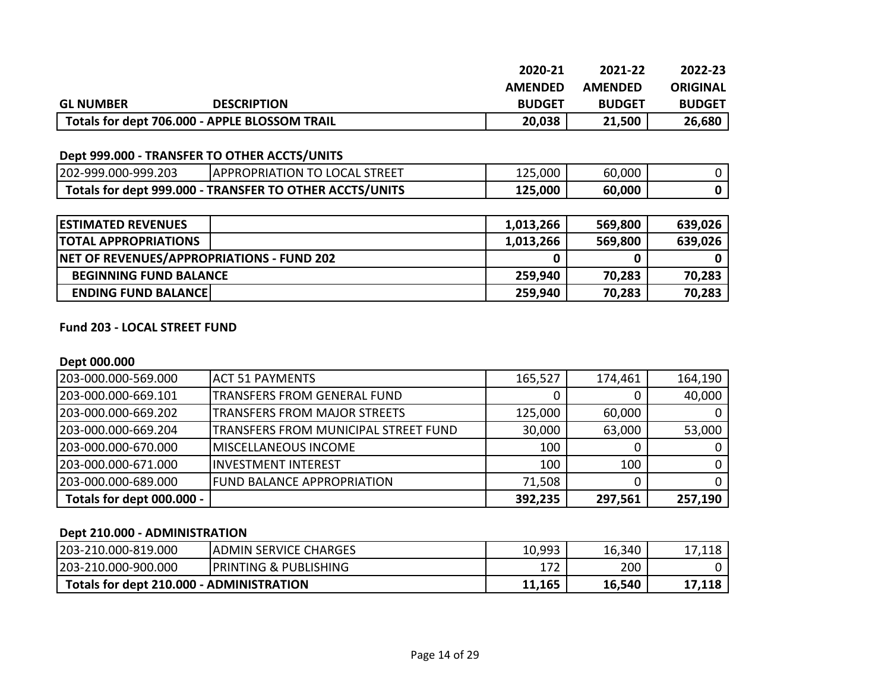|                  |                                               | 2020-21        | 2021-22        | 2022-23       |
|------------------|-----------------------------------------------|----------------|----------------|---------------|
|                  |                                               | <b>AMFNDFD</b> | <b>AMFNDFD</b> | ORIGINAL      |
| <b>GL NUMBER</b> | <b>DESCRIPTION</b>                            | <b>BUDGET</b>  | <b>BUDGET</b>  | <b>BUDGET</b> |
|                  | Totals for dept 706.000 - APPLE BLOSSOM TRAIL | 20,038         | 21,500         | 26,680        |

#### **Dept 999.000 - TRANSFER TO OTHER ACCTS/UNITS**

| 202-999.000-999.203                                     | <b>IAPPROPRIATION TO LOCAL STREET</b> | 125,000 | 60,000 |  |
|---------------------------------------------------------|---------------------------------------|---------|--------|--|
| Totals for dept 999.000 - TRANSFER TO OTHER ACCTS/UNITS |                                       | 125,000 | 60,000 |  |

| <b>ESTIMATED REVENUES</b>                        | 1,013,266 | 569,800 | 639,026 |
|--------------------------------------------------|-----------|---------|---------|
| <b>ITOTAL APPROPRIATIONS</b>                     | 1,013,266 | 569,800 | 639,026 |
| <b>NET OF REVENUES/APPROPRIATIONS - FUND 202</b> |           |         |         |
| <b>BEGINNING FUND BALANCE</b>                    | 259,940   | 70,283  | 70,283  |
| <b>ENDING FUND BALANCE</b>                       | 259,940   | 70,283  | 70,283  |

#### **Fund 203 - LOCAL STREET FUND**

#### **Dept 000.000**

| 203-000.000-569.000       | <b>ACT 51 PAYMENTS</b>               | 165,527 | 174,461 | 164,190     |
|---------------------------|--------------------------------------|---------|---------|-------------|
| 1203-000.000-669.101      | <b>TRANSFERS FROM GENERAL FUND</b>   |         |         | 40,000      |
| 203-000.000-669.202       | <b>TRANSFERS FROM MAJOR STREETS</b>  | 125,000 | 60,000  | 0           |
| 203-000.000-669.204       | TRANSFERS FROM MUNICIPAL STREET FUND | 30,000  | 63,000  | 53,000      |
| 203-000.000-670.000       | <b>IMISCELLANEOUS INCOME</b>         | 100     | O       | 0           |
| 203-000.000-671.000       | <b>IINVESTMENT INTEREST</b>          | 100     | 100     | $0^{\circ}$ |
| 203-000.000-689.000       | <b>FUND BALANCE APPROPRIATION</b>    | 71,508  | 0       | 0           |
| Totals for dept 000.000 - |                                      | 392,235 | 297,561 | 257,190     |

#### **Dept 210.000 - ADMINISTRATION**

| 203-210.000-819.000                      | <b>ADMIN SERVICE CHARGES</b>     | 10,993 | 16,340 | 17,118 |
|------------------------------------------|----------------------------------|--------|--------|--------|
| 203-210.000-900.000                      | <b>PRINTING &amp; PUBLISHING</b> | 172    | 200    |        |
| Totals for dept 210.000 - ADMINISTRATION |                                  | 11,165 | 16,540 | 17,118 |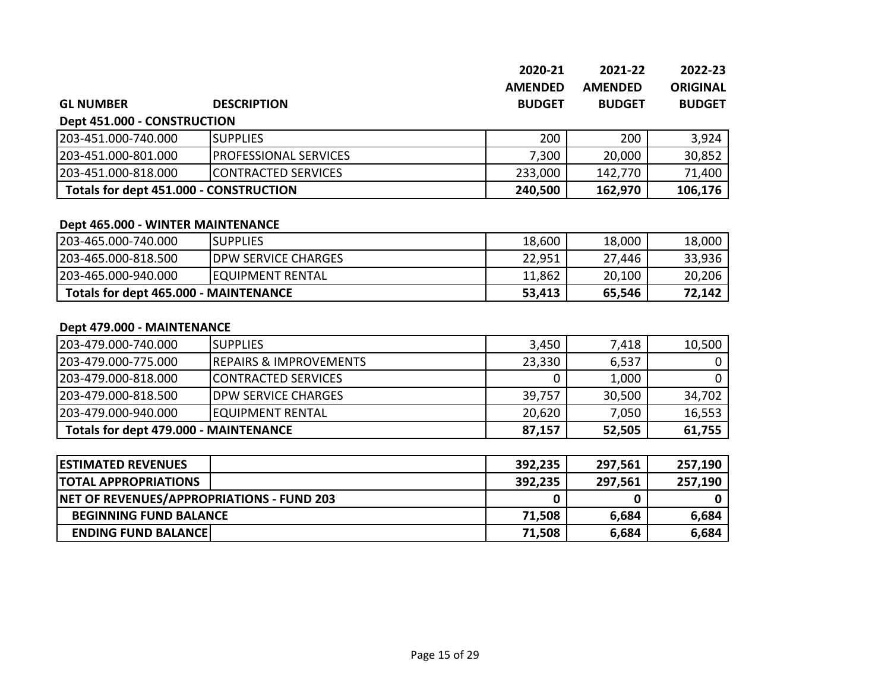|                  |                    | 2020-21        | 2021-22        | 2022-23         |
|------------------|--------------------|----------------|----------------|-----------------|
|                  |                    | <b>AMENDED</b> | <b>AMENDED</b> | <b>ORIGINAL</b> |
| <b>GL NUMBER</b> | <b>DESCRIPTION</b> | <b>BUDGET</b>  | <b>BUDGET</b>  | <b>BUDGET</b>   |

**Dept 451.000 - CONSTRUCTION**

| 203-451.000-740.000                    | ISUPPLIES                     | 200     | 200     | 3,924   |
|----------------------------------------|-------------------------------|---------|---------|---------|
| 203-451.000-801.000                    | <b>IPROFESSIONAL SERVICES</b> | 7,300   | 20,000  | 30,852  |
| 203-451.000-818.000                    | <b>ICONTRACTED SERVICES</b>   | 233,000 | 142,770 | 71,400  |
| Totals for dept 451.000 - CONSTRUCTION |                               | 240,500 | 162,970 | 106,176 |

#### **Dept 465.000 - WINTER MAINTENANCE**

| 203-465.000-740.000                          | <b>ISUPPLIES</b>           | 18,600 | 18,000 | 18,000 |
|----------------------------------------------|----------------------------|--------|--------|--------|
| 203-465.000-818.500                          | <b>DPW SERVICE CHARGES</b> | 22,951 | 27,446 | 33,936 |
| 203-465.000-940.000                          | <b>IEQUIPMENT RENTAL</b>   | 11,862 | 20,100 | 20,206 |
| <b>Totals for dept 465.000 - MAINTENANCE</b> |                            | 53,413 | 65,546 | 72,142 |

#### **Dept 479.000 - MAINTENANCE**

| 203-479.000-740.000                   | <b>ISUPPLIES</b>                  | 3,450  | 7,418  | 10,500 |
|---------------------------------------|-----------------------------------|--------|--------|--------|
| 203-479.000-775.000                   | <b>REPAIRS &amp; IMPROVEMENTS</b> | 23,330 | 6,537  |        |
| 203-479.000-818.000                   | <b>CONTRACTED SERVICES</b>        |        | 1,000  |        |
| 203-479.000-818.500                   | <b>IDPW SERVICE CHARGES</b>       | 39,757 | 30,500 | 34,702 |
| 203-479.000-940.000                   | <b>EQUIPMENT RENTAL</b>           | 20,620 | 7,050  | 16,553 |
| Totals for dept 479.000 - MAINTENANCE |                                   | 87,157 | 52,505 | 61,755 |

| <b>ESTIMATED REVENUES</b>                 | 392,235 | 297,561 | 257,190 |
|-------------------------------------------|---------|---------|---------|
| <b>ITOTAL APPROPRIATIONS</b>              | 392,235 | 297,561 | 257,190 |
| NET OF REVENUES/APPROPRIATIONS - FUND 203 |         |         |         |
| <b>BEGINNING FUND BALANCE</b>             | 71,508  | 6,684   | 6,684   |
| <b>ENDING FUND BALANCE</b>                | 71,508  | 6,684   | 6,684   |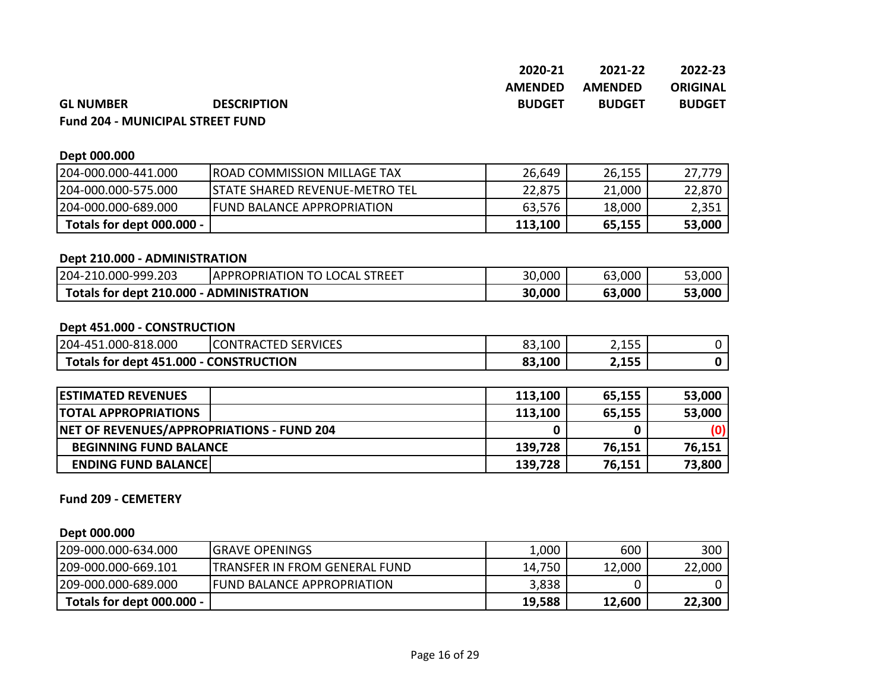| 2020-21        | 2021-22        | 2022-23         |
|----------------|----------------|-----------------|
| <b>AMFNDFD</b> | <b>AMFNDFD</b> | <b>ORIGINAL</b> |
| <b>BUDGET</b>  | <b>BUDGET</b>  | <b>BUDGET</b>   |

#### **GL NUMBER BUDGETRON Fund 204 - MUNICIPAL STREET FUND**

| Dept 000.000              |                                        |         |        |        |
|---------------------------|----------------------------------------|---------|--------|--------|
| 204-000.000-441.000       | <b>IROAD COMMISSION MILLAGE TAX</b>    | 26,649  | 26,155 | 27,779 |
| 204-000.000-575.000       | <b>ISTATE SHARED REVENUE-METRO TEL</b> | 22,875  | 21,000 | 22,870 |
| 204-000.000-689.000       | <b>IFUND BALANCE APPROPRIATION</b>     | 63,576  | 18,000 | 2,351  |
| Totals for dept 000.000 - |                                        | 113,100 | 65,155 | 53,000 |

#### **Dept 210.000 - ADMINISTRATION**

| 204-210.000-999.203                      | APPROPRIATION TO LOCAL<br><b>STREET</b> | 30,000 | 63,000 | 53,000 |
|------------------------------------------|-----------------------------------------|--------|--------|--------|
| Totals for dept 210.000 - ADMINISTRATION |                                         | 30,000 | 63,000 | 53,000 |

#### **Dept 451.000 - CONSTRUCTION**

| 204-451.000-818.000                    | <b>CONTRACTED SERVICES</b> | 83,100 | つっにに<br>ر س د د |  |
|----------------------------------------|----------------------------|--------|-----------------|--|
| Totals for dept 451.000 - CONSTRUCTION |                            | 83,100 | 2,155           |  |

| <b>ESTIMATED REVENUES</b>                        | 113,100 | 65,155 | 53,000 |
|--------------------------------------------------|---------|--------|--------|
| <b>ITOTAL APPROPRIATIONS</b>                     | 113,100 | 65,155 | 53,000 |
| <b>NET OF REVENUES/APPROPRIATIONS - FUND 204</b> |         |        | (O)    |
| <b>BEGINNING FUND BALANCE</b>                    | 139,728 | 76,151 | 76,151 |
| <b>ENDING FUND BALANCE!</b>                      | 139,728 | 76,151 | 73,800 |

#### **Fund 209 - CEMETERY**

#### **Dept 000.000**

| 209-000.000-634.000       | <b>IGRAVE OPENINGS</b>                | $\mathsf{L}$ ,000 | 600    | 300    |
|---------------------------|---------------------------------------|-------------------|--------|--------|
| 209-000.000-669.101       | <b>ITRANSFER IN FROM GENERAL FUND</b> | 14,750            | 12,000 | 22,000 |
| 209-000.000-689.000       | <b>IFUND BALANCE APPROPRIATION</b>    | 3,838             |        |        |
| Totals for dept 000.000 - |                                       | 19,588            | 12,600 | 22,300 |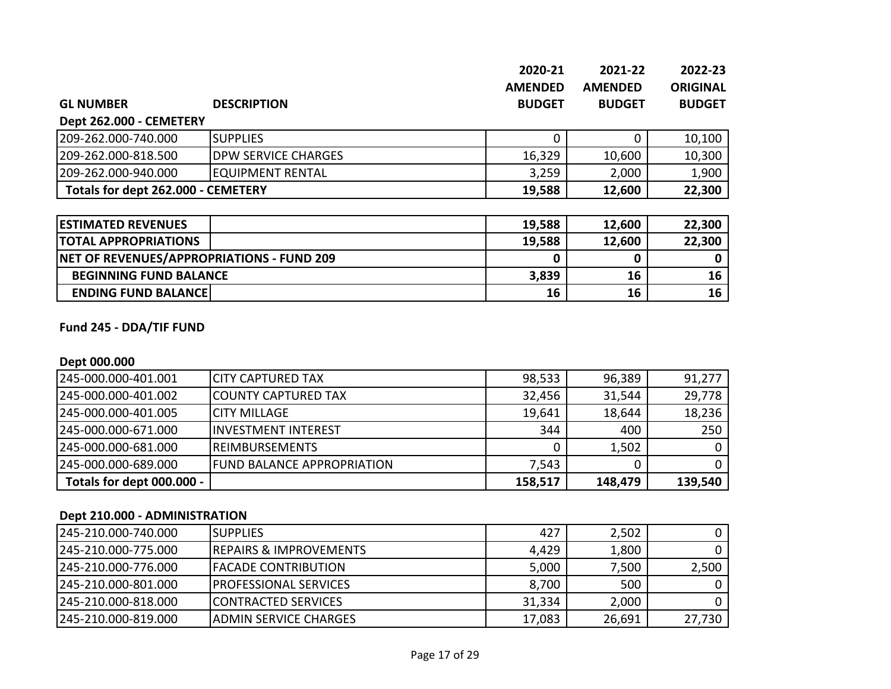|                                           |                            | 2020-21          | 2021-22        | 2022-23         |
|-------------------------------------------|----------------------------|------------------|----------------|-----------------|
|                                           |                            | <b>AMENDED</b>   | <b>AMENDED</b> | <b>ORIGINAL</b> |
| <b>GL NUMBER</b>                          | <b>DESCRIPTION</b>         | <b>BUDGET</b>    | <b>BUDGET</b>  | <b>BUDGET</b>   |
| Dept 262.000 - CEMETERY                   |                            |                  |                |                 |
| 209-262.000-740.000                       | <b>SUPPLIES</b>            | 0                | 0              | 10,100          |
| 209-262.000-818.500                       | <b>DPW SERVICE CHARGES</b> | 16,329           | 10,600         | 10,300          |
| 209-262.000-940.000                       | <b>EQUIPMENT RENTAL</b>    | 3,259            | 2,000          | 1,900           |
| Totals for dept 262.000 - CEMETERY        |                            | 19,588<br>12,600 |                | 22,300          |
|                                           |                            |                  |                |                 |
| <b>ESTIMATED REVENUES</b>                 |                            | 19,588           | 12,600         | 22,300          |
| <b>TOTAL APPROPRIATIONS</b>               |                            | 19,588           | 12,600         | 22,300          |
| NET OF REVENUES/APPROPRIATIONS - FUND 209 |                            | 0                | 0              | 0               |
| <b>BEGINNING FUND BALANCE</b>             |                            | 3,839            | 16             | 16              |
| <b>ENDING FUND BALANCE</b>                |                            | 16               | 16             | 16              |

# **Fund 245 - DDA/TIF FUND**

#### **Dept 000.000**

| 245-000.000-401.001       | ICITY CAPTURED TAX                 | 98,533  | 96,389  | 91,277  |
|---------------------------|------------------------------------|---------|---------|---------|
| 1245-000.000-401.002      | <b>ICOUNTY CAPTURED TAX</b>        | 32,456  | 31,544  | 29,778  |
| 245-000.000-401.005       | <b>ICITY MILLAGE</b>               | 19,641  | 18,644  | 18,236  |
| 1245-000.000-671.000      | <b>IINVESTMENT INTEREST</b>        | 344     | 400     | 250     |
| 245-000.000-681.000       | <b>IREIMBURSEMENTS</b>             |         | 1,502   | 0       |
| 245-000.000-689.000       | <b>IFUND BALANCE APPROPRIATION</b> | 7,543   |         | 0       |
| Totals for dept 000.000 - |                                    | 158,517 | 148,479 | 139,540 |

#### **Dept 210.000 - ADMINISTRATION**

| 1245-210.000-740.000 | <b>ISUPPLIES</b>                   | 427    | 2,502  |        |
|----------------------|------------------------------------|--------|--------|--------|
| 1245-210.000-775.000 | <b>IREPAIRS &amp; IMPROVEMENTS</b> | 4,429  | 1,800  |        |
| 1245-210.000-776.000 | <b>IFACADE CONTRIBUTION</b>        | 5,000  | 7,500  | 2,500  |
| 1245-210.000-801.000 | <b>IPROFESSIONAL SERVICES</b>      | 8,700  | 500    |        |
| 1245-210.000-818.000 | <b>ICONTRACTED SERVICES</b>        | 31,334 | 2,000  |        |
| 1245-210.000-819.000 | IADMIN SERVICE CHARGES             | 17,083 | 26,691 | 27,730 |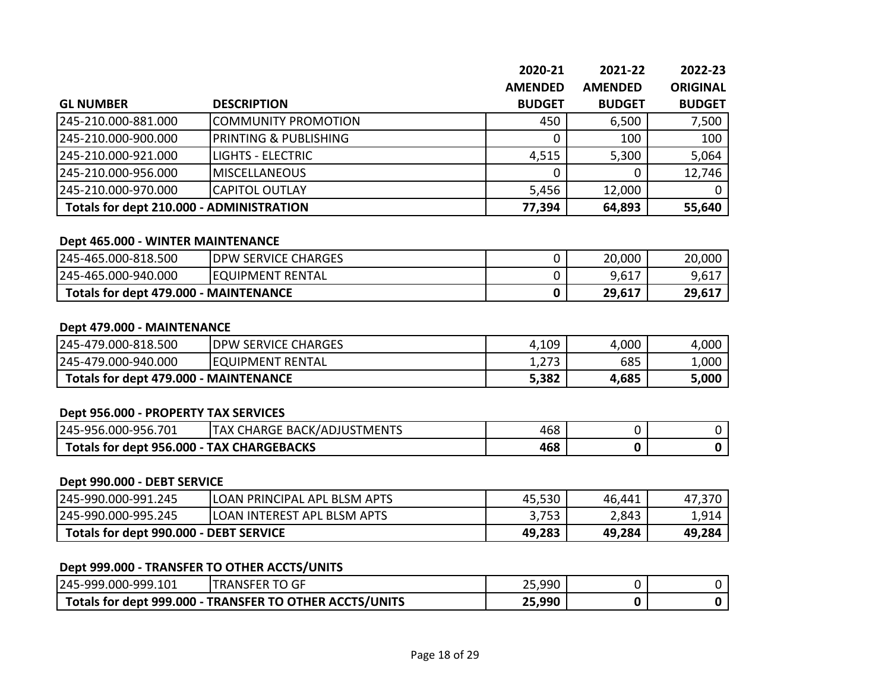|                                          |                                  | 2020-21        | 2021-22        | 2022-23         |
|------------------------------------------|----------------------------------|----------------|----------------|-----------------|
|                                          |                                  | <b>AMENDED</b> | <b>AMENDED</b> | <b>ORIGINAL</b> |
| <b>GL NUMBER</b>                         | <b>DESCRIPTION</b>               | <b>BUDGET</b>  | <b>BUDGET</b>  | <b>BUDGET</b>   |
| 245-210.000-881.000                      | COMMUNITY PROMOTION              | 450            | 6,500          | 7,500           |
| 245-210.000-900.000                      | <b>PRINTING &amp; PUBLISHING</b> |                | 100            | 100             |
| 245-210.000-921.000                      | <b>LIGHTS - ELECTRIC</b>         | 4,515          | 5,300          | 5,064           |
| 245-210.000-956.000                      | <b>MISCELLANEOUS</b>             |                | 0              | 12,746          |
| 245-210.000-970.000                      | <b>CAPITOL OUTLAY</b>            | 5,456          | 12,000         |                 |
| Totals for dept 210.000 - ADMINISTRATION |                                  | 77,394         | 64,893         | 55,640          |

#### **Dept 465.000 - WINTER MAINTENANCE**

| 245-465.000-818.500                          | <b>DPW SERVICE CHARGES</b> | 20,000 | 20,000 |
|----------------------------------------------|----------------------------|--------|--------|
| 245-465.000-940.000                          | <b>IEQUIPMENT RENTAL</b>   | 9,617  | 9,617  |
| <b>Totals for dept 479.000 - MAINTENANCE</b> |                            | 29,617 | 29,617 |

#### **Dept 479.000 - MAINTENANCE**

| 245-479.000-818.500                   | <b>IDPW SERVICE CHARGES</b> | 4,109 | 4,000 | 4,000  |
|---------------------------------------|-----------------------------|-------|-------|--------|
| 245-479.000-940.000                   | <b>IEQUIPMENT RENTAL</b>    | 1,273 | 685   | 1,000' |
| Totals for dept 479.000 - MAINTENANCE |                             | 5,382 | 4,685 | 5,000  |

#### **Dept 956.000 - PROPERTY TAX SERVICES**

| 245-956.000-956.701                       | CHARGE BACK/ADJUSTMENTS<br><b>ITAX</b> | 468 |  |
|-------------------------------------------|----------------------------------------|-----|--|
| Totals for dept 956.000 - TAX CHARGEBACKS |                                        | 468 |  |

#### **Dept 990.000 - DEBT SERVICE**

| 245-990.000-991.245                    | ILOAN PRINCIPAL APL BLSM APTS | 45,530 | 46,441 | 47,370 |
|----------------------------------------|-------------------------------|--------|--------|--------|
| 245-990.000-995.245                    | ILOAN INTEREST APL BLSM APTS  | 3,753  | 2,843  | 1,914  |
| Totals for dept 990.000 - DEBT SERVICE |                               | 49,283 | 49,284 | 49,284 |

#### **Dept 999.000 - TRANSFER TO OTHER ACCTS/UNITS**

| 245-999.000-999.101                                     | <b>TRANSFER TO GF</b> | 25,990 |  |
|---------------------------------------------------------|-----------------------|--------|--|
| Totals for dept 999.000 - TRANSFER TO OTHER ACCTS/UNITS |                       | 25,990 |  |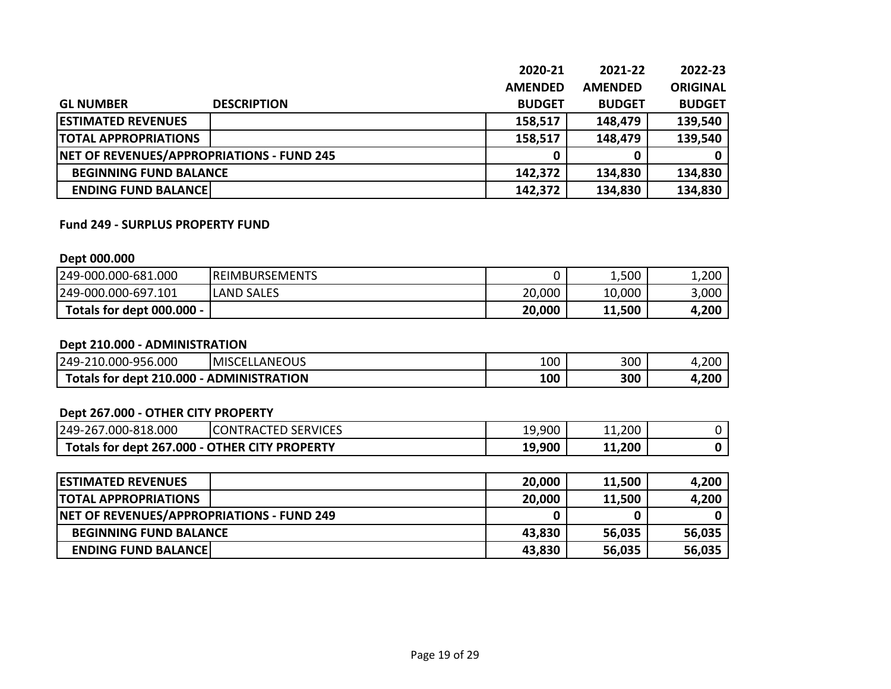|                                                  | 2020-21        | 2021-22        | 2022-23         |
|--------------------------------------------------|----------------|----------------|-----------------|
|                                                  | <b>AMENDED</b> | <b>AMENDED</b> | <b>ORIGINAL</b> |
| <b>GL NUMBER</b><br><b>DESCRIPTION</b>           | <b>BUDGET</b>  | <b>BUDGET</b>  | <b>BUDGET</b>   |
| <b>ESTIMATED REVENUES</b>                        | 158,517        | 148,479        | 139,540         |
| <b>TOTAL APPROPRIATIONS</b>                      | 158,517        | 148,479        | 139,540         |
| <b>NET OF REVENUES/APPROPRIATIONS - FUND 245</b> |                | 0              |                 |
| <b>BEGINNING FUND BALANCE</b>                    | 142,372        | 134,830        | 134,830         |
| <b>ENDING FUND BALANCE</b>                       | 142,372        | 134,830        | 134,830         |

#### **Fund 249 - SURPLUS PROPERTY FUND**

#### **Dept 000.000**

| 249-000.000-681.000       | <b>IREIMBURSEMENTS</b> |        | 1,500        | 1,200 |
|---------------------------|------------------------|--------|--------------|-------|
| 249-000.000-697.101       | <b>LAND SALES</b>      | 20,000 | 10,000       | 3,000 |
| Totals for dept 000.000 - |                        | 20,000 | 11,500<br>11 | 4,200 |

#### **Dept 210.000 - ADMINISTRATION**

| .000<br>،000-956.I<br>249-2<br>210                 | LANEOUS<br><b>IMISCE</b><br>1⊢I \ | 100 | 300 | 4,200      |
|----------------------------------------------------|-----------------------------------|-----|-----|------------|
| Totals for dept 210.000<br><b>- ADMINISTRATION</b> |                                   | 100 | 300 | 1,200<br>▰ |

# **Dept 267.000 - OTHER CITY PROPERTY**

| 000-818.000.<br>249-<br>$-267$                | <b>SERVICES</b><br>'TRACTED .<br>CON <sup>-</sup> | 19,900 | 11,200       |  |
|-----------------------------------------------|---------------------------------------------------|--------|--------------|--|
| Totals for dept 267.000 - OTHER CITY PROPERTY |                                                   | 19,900 | 11,200<br>11 |  |

| <b>ESTIMATED REVENUES</b>                 | 20,000 | 11,500 | 4,200  |
|-------------------------------------------|--------|--------|--------|
| <b>ITOTAL APPROPRIATIONS</b>              | 20,000 | 11,500 | 4,200  |
| NET OF REVENUES/APPROPRIATIONS - FUND 249 |        |        |        |
| <b>BEGINNING FUND BALANCE</b>             | 43,830 | 56,035 | 56,035 |
| <b>ENDING FUND BALANCE</b>                | 43,830 | 56,035 | 56,035 |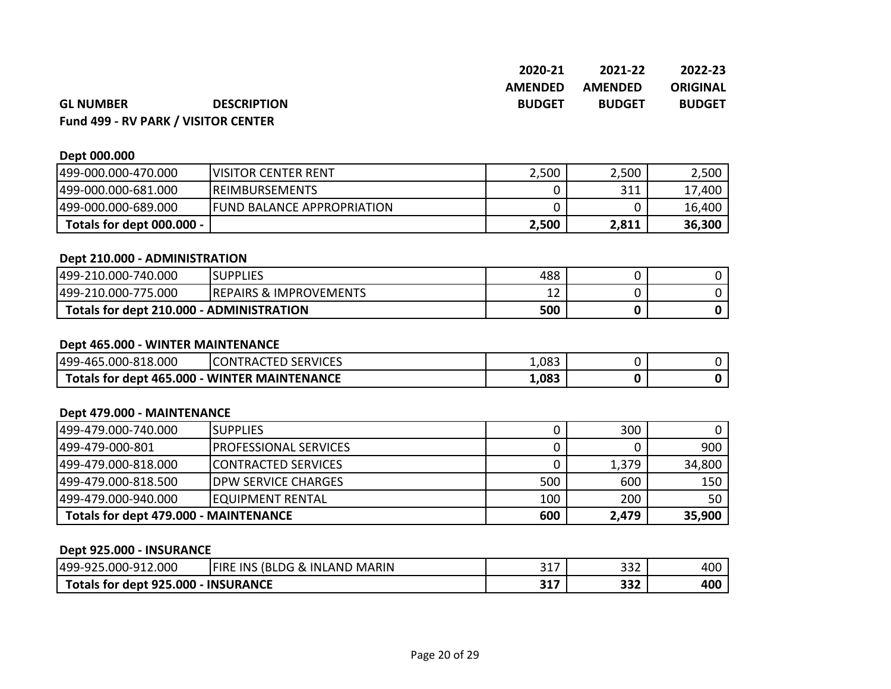|                  |                    | 2020-21        | 2021-22        | 2022-23       |
|------------------|--------------------|----------------|----------------|---------------|
|                  |                    | <b>AMENDED</b> | <b>AMENDED</b> | ORIGINAL      |
| <b>GL NUMBER</b> | <b>DESCRIPTION</b> | <b>BUDGET</b>  | <b>BUDGET</b>  | <b>BUDGET</b> |

# **Fund 499 - RV PARK / VISITOR CENTER**

# **Dept 000.000**

| 499-000.000-470.000       | <b>IVISITOR CENTER RENT</b>        | 2,500 | 2,500 | 2,500  |
|---------------------------|------------------------------------|-------|-------|--------|
| 499-000.000-681.000       | <b>IREIMBURSEMENTS</b>             |       | 311   | 17,400 |
| 499-000.000-689.000       | <b>IFUND BALANCE APPROPRIATION</b> |       |       | 16,400 |
| Totals for dept 000.000 - |                                    | 2,500 | 2,811 | 36,300 |

#### **Dept 210.000 - ADMINISTRATION**

| 499-210.000-740.000                      | <b>SUPPLIES</b>                    | 488 |  |
|------------------------------------------|------------------------------------|-----|--|
| 499-210.000-775.000                      | <b>IREPAIRS &amp; IMPROVEMENTS</b> | ∸∸  |  |
| Totals for dept 210.000 - ADMINISTRATION |                                    | 500 |  |

#### **Dept 465.000 - WINTER MAINTENANCE**

| 499-465.000-818.000                          | <b>CONTRACTED SERVICES</b> | 1,083 |  |
|----------------------------------------------|----------------------------|-------|--|
| Totals for dept 465.000 - WINTER MAINTENANCE |                            | 1,083 |  |

#### **Dept 479.000 - MAINTENANCE**

| 499-479.000-740.000                   | <b>ISUPPLIES</b>            |     | 300   |        |
|---------------------------------------|-----------------------------|-----|-------|--------|
| 1499-479-000-801                      | IPROFESSIONAL SERVICES      |     |       | 900    |
| 1499-479.000-818.000                  | <b>ICONTRACTED SERVICES</b> |     | 1,379 | 34,800 |
| 1499-479.000-818.500                  | IDPW SERVICE CHARGES        | 500 | 600   | 150    |
| 499-479.000-940.000                   | IEOUIPMENT RENTAL           | 100 | 200   | 50     |
| Totals for dept 479.000 - MAINTENANCE |                             | 600 | 2,479 | 35,900 |

#### **Dept 925.000 - INSURANCE**

| 499-92<br>L2.000<br>.000-912                       | (BI<br>INS.<br><b>IFIRE</b><br><b>MARIN</b><br><b>INLANI</b><br>DG.<br>ΚV. | 247<br>ىدر        | $\cap$<br>ےدכ | 400 |
|----------------------------------------------------|----------------------------------------------------------------------------|-------------------|---------------|-----|
| 5.000<br><b>INSURANCE</b><br>Totals for dept 925.u |                                                                            | <b>345</b><br>JT1 | つつつ<br>33Z    | 400 |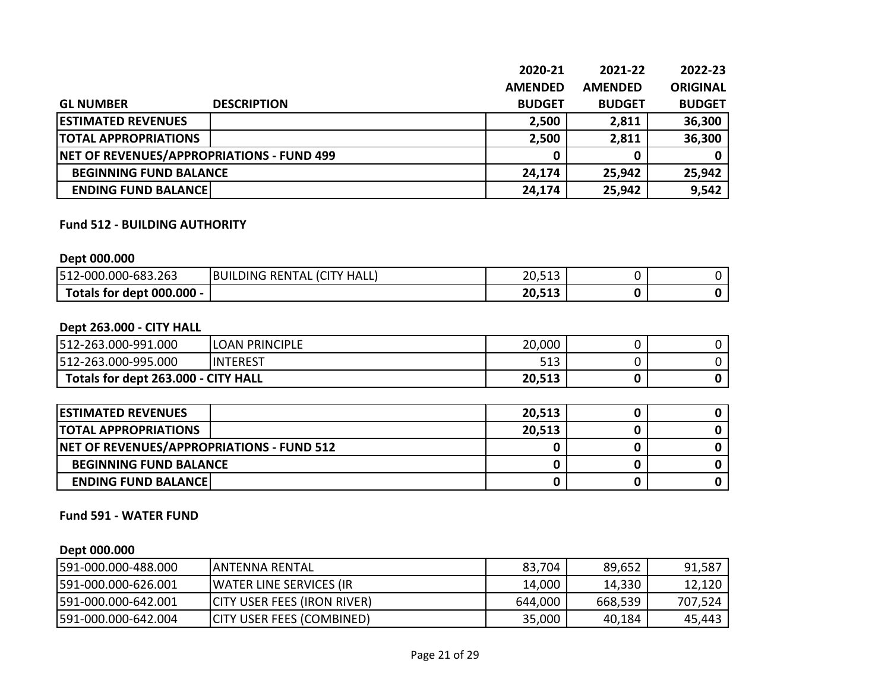|                                           | 2020-21        | 2021-22        | 2022-23         |
|-------------------------------------------|----------------|----------------|-----------------|
|                                           | <b>AMENDED</b> | <b>AMENDED</b> | <b>ORIGINAL</b> |
| <b>DESCRIPTION</b><br><b>GL NUMBER</b>    | <b>BUDGET</b>  | <b>BUDGET</b>  | <b>BUDGET</b>   |
| <b>ESTIMATED REVENUES</b>                 | 2,500          | 2,811          | 36,300          |
| <b>TOTAL APPROPRIATIONS</b>               | 2,500          | 2,811          | 36,300          |
| NET OF REVENUES/APPROPRIATIONS - FUND 499 |                | 0              |                 |
| <b>BEGINNING FUND BALANCE</b>             | 24,174         | 25,942         | 25,942          |
| <b>ENDING FUND BALANCE</b>                | 24,174         | 25,942         | 9,542           |

#### **Fund 512 - BUILDING AUTHORITY**

#### **Dept 000.000**

| 512-000.000-683.263       | <b>RENTAL (CITY HALL)</b><br>IBUILDING | 20,513 |  |
|---------------------------|----------------------------------------|--------|--|
| Totals for dept 000.000 - |                                        | 20,513 |  |

#### **Dept 263.000 - CITY HALL**

| 512-263.000-991.000                 | <b>LOAN PRINCIPLE</b> | 20,000 |  |
|-------------------------------------|-----------------------|--------|--|
| 512-263.000-995.000                 | <b>INTEREST</b>       | 513    |  |
| Totals for dept 263.000 - CITY HALL |                       | 20,513 |  |

| <b>IESTIMATED REVENUES</b>                | 20,513 |  |
|-------------------------------------------|--------|--|
| <b>ITOTAL APPROPRIATIONS</b>              | 20,513 |  |
| NET OF REVENUES/APPROPRIATIONS - FUND 512 |        |  |
| <b>BEGINNING FUND BALANCE</b>             |        |  |
| <b>ENDING FUND BALANCE</b>                |        |  |

#### **Fund 591 - WATER FUND**

#### **Dept 000.000**

| 591-000.000-488.000 | IANTENNA RENTAL                    | 83,704  | 89,652  | 91,587  |
|---------------------|------------------------------------|---------|---------|---------|
| 591-000.000-626.001 | <b>WATER LINE SERVICES (IR</b>     | 14,000  | 14,330  | 12,120  |
| 591-000.000-642.001 | <b>CITY USER FEES (IRON RIVER)</b> | 644,000 | 668,539 | 707,524 |
| 591-000.000-642.004 | <b>CITY USER FEES (COMBINED)</b>   | 35,000  | 40,184  | 45,443  |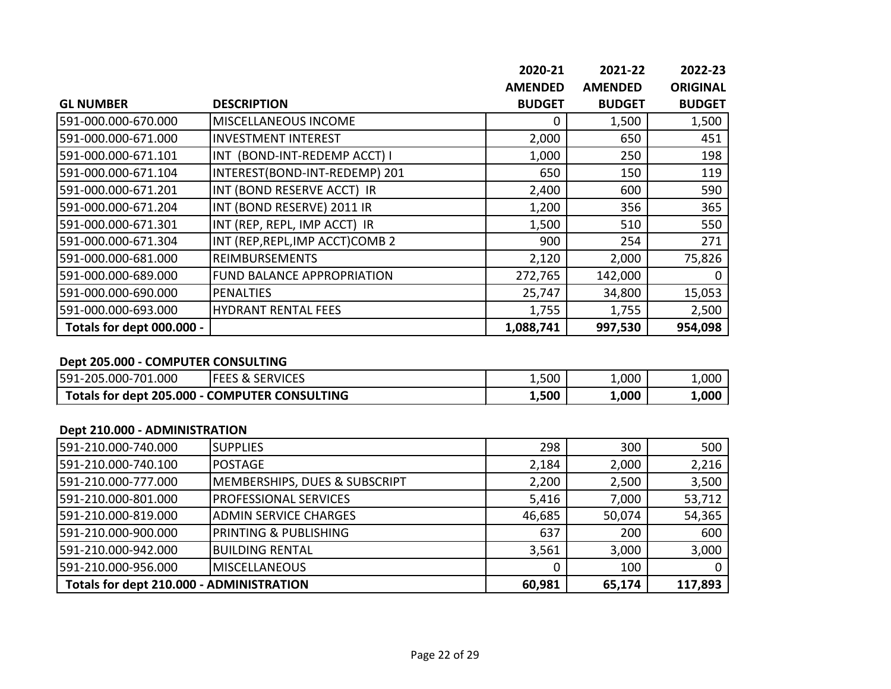|                           |                                   | 2020-21        | 2021-22        | 2022-23         |
|---------------------------|-----------------------------------|----------------|----------------|-----------------|
|                           |                                   | <b>AMENDED</b> | <b>AMENDED</b> | <b>ORIGINAL</b> |
| <b>GL NUMBER</b>          | <b>DESCRIPTION</b>                | <b>BUDGET</b>  | <b>BUDGET</b>  | <b>BUDGET</b>   |
| 591-000.000-670.000       | MISCELLANEOUS INCOME              | 0              | 1,500          | 1,500           |
| 591-000.000-671.000       | <b>INVESTMENT INTEREST</b>        | 2,000          | 650            | 451             |
| 591-000.000-671.101       | INT (BOND-INT-REDEMP ACCT) I      | 1,000          | 250            | 198             |
| 591-000.000-671.104       | INTEREST(BOND-INT-REDEMP) 201     | 650            | 150            | 119             |
| 591-000.000-671.201       | INT (BOND RESERVE ACCT) IR        | 2,400          | 600            | 590             |
| 591-000.000-671.204       | INT (BOND RESERVE) 2011 IR        | 1,200          | 356            | 365             |
| 591-000.000-671.301       | INT (REP, REPL, IMP ACCT) IR      | 1,500          | 510            | 550             |
| 591-000.000-671.304       | INT (REP, REPL, IMP ACCT) COMB 2  | 900            | 254            | 271             |
| 591-000.000-681.000       | <b>REIMBURSEMENTS</b>             | 2,120          | 2,000          | 75,826          |
| 591-000.000-689.000       | <b>FUND BALANCE APPROPRIATION</b> | 272,765        | 142,000        |                 |
| 591-000.000-690.000       | <b>PENALTIES</b>                  | 25,747         | 34,800         | 15,053          |
| 591-000.000-693.000       | <b>HYDRANT RENTAL FEES</b>        | 1,755          | 1,755          | 2,500           |
| Totals for dept 000.000 - |                                   | 1,088,741      | 997,530        | 954,098         |

## **Dept 205.000 - COMPUTER CONSULTING**

| 000.l<br>591-205<br>.000-701                  | <b>SERVICES</b><br>1 I- F<br>EES & | 1,500 | $\mathsf{L}$ ,000 | $\mathsf{L}$ ,000 $\mathsf{L}$ |
|-----------------------------------------------|------------------------------------|-------|-------------------|--------------------------------|
| Totals for dept 205.000 - COMPUTER CONSULTING |                                    | 1,500 | 000.ء             | 000,∡                          |

#### **Dept 210.000 - ADMINISTRATION**

| 591-210.000-740.000                      | <b>SUPPLIES</b>                          | 298    | 300    | 500     |
|------------------------------------------|------------------------------------------|--------|--------|---------|
| 591-210.000-740.100                      | <b>POSTAGE</b>                           | 2,184  | 2,000  | 2,216   |
| 591-210.000-777.000                      | <b>MEMBERSHIPS, DUES &amp; SUBSCRIPT</b> | 2,200  | 2,500  | 3,500   |
| 591-210.000-801.000                      | <b>PROFESSIONAL SERVICES</b>             | 5,416  | 7,000  | 53,712  |
| 591-210.000-819.000                      | <b>ADMIN SERVICE CHARGES</b>             | 46,685 | 50,074 | 54,365  |
| 591-210.000-900.000                      | <b>PRINTING &amp; PUBLISHING</b>         | 637    | 200    | 600     |
| 591-210.000-942.000                      | <b>BUILDING RENTAL</b>                   | 3,561  | 3,000  | 3,000   |
| 591-210.000-956.000                      | <b>MISCELLANEOUS</b>                     |        | 100    |         |
| Totals for dept 210.000 - ADMINISTRATION |                                          | 60,981 | 65,174 | 117,893 |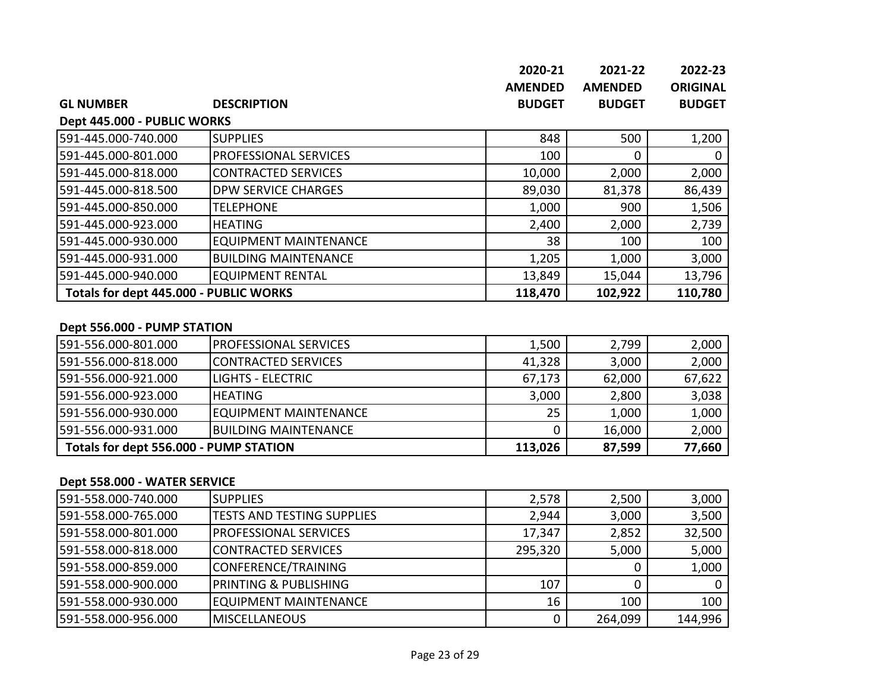|                                                                                                                                                                                                                                                                                                                                                                            |                                            | 2020-21        | 2021-22        | 2022-23         |
|----------------------------------------------------------------------------------------------------------------------------------------------------------------------------------------------------------------------------------------------------------------------------------------------------------------------------------------------------------------------------|--------------------------------------------|----------------|----------------|-----------------|
|                                                                                                                                                                                                                                                                                                                                                                            |                                            | <b>AMENDED</b> | <b>AMENDED</b> | <b>ORIGINAL</b> |
| <b>GL NUMBER</b>                                                                                                                                                                                                                                                                                                                                                           | <b>DESCRIPTION</b>                         | <b>BUDGET</b>  | <b>BUDGET</b>  | <b>BUDGET</b>   |
| Dept 445.000 - PUBLIC WORKS                                                                                                                                                                                                                                                                                                                                                |                                            |                |                |                 |
| 591-445.000-740.000                                                                                                                                                                                                                                                                                                                                                        | <b>SUPPLIES</b>                            | 848            | 500            | 1,200           |
| 591-445.000-801.000                                                                                                                                                                                                                                                                                                                                                        | PROFESSIONAL SERVICES                      | 100            | 0              | $\mathbf{I}$    |
| 591-445.000-818.000                                                                                                                                                                                                                                                                                                                                                        | <b>CONTRACTED SERVICES</b>                 | 10,000         | 2,000          | 2,000           |
| 591-445.000-818.500                                                                                                                                                                                                                                                                                                                                                        | <b>DPW SERVICE CHARGES</b>                 | 89,030         | 81,378         | 86,439          |
| 591-445.000-850.000                                                                                                                                                                                                                                                                                                                                                        | <b>TELEPHONE</b>                           | 1,000          | 900            | 1,506           |
| 591-445.000-923.000                                                                                                                                                                                                                                                                                                                                                        | <b>HEATING</b>                             | 2,400          | 2,000          | 2,739           |
| 591-445.000-930.000                                                                                                                                                                                                                                                                                                                                                        | <b>EQUIPMENT MAINTENANCE</b>               | 38             | 100            | 100             |
| 591-445.000-931.000                                                                                                                                                                                                                                                                                                                                                        | <b>BUILDING MAINTENANCE</b>                | 1,205          | 1,000          | 3,000           |
| 591-445.000-940.000                                                                                                                                                                                                                                                                                                                                                        | <b>EQUIPMENT RENTAL</b>                    | 13,849         | 15,044         | 13,796          |
| Totals for dept 445.000 - PUBLIC WORKS                                                                                                                                                                                                                                                                                                                                     |                                            | 118,470        | 102,922        | 110,780         |
|                                                                                                                                                                                                                                                                                                                                                                            |                                            |                |                |                 |
| Dept 556.000 - PUMP STATION                                                                                                                                                                                                                                                                                                                                                |                                            |                |                |                 |
| 591-556.000-801.000                                                                                                                                                                                                                                                                                                                                                        | <b>PROFESSIONAL SERVICES</b>               | 1,500          | 2,799          | 2,000           |
| 591-556.000-818.000                                                                                                                                                                                                                                                                                                                                                        | <b>CONTRACTED SERVICES</b>                 | 41,328         | 3,000          | 2,000           |
| $F^{\prime}$ $F^{\prime}$ $F^{\prime}$ $F^{\prime}$ $F^{\prime}$ $F^{\prime}$ $F^{\prime}$ $F^{\prime}$ $F^{\prime}$ $F^{\prime}$ $F^{\prime}$ $F^{\prime}$ $F^{\prime}$ $F^{\prime}$ $F^{\prime}$ $F^{\prime}$ $F^{\prime}$ $F^{\prime}$ $F^{\prime}$ $F^{\prime}$ $F^{\prime}$ $F^{\prime}$ $F^{\prime}$ $F^{\prime}$ $F^{\prime}$ $F^{\prime}$ $F^{\prime}$ $F^{\prime$ | $\overline{1101170}$ $\overline{11707010}$ | $  -$          | $\sim$ $\sim$  | $  -$           |

| Totals for dept 556.000 - PUMP STATION |                               | 113,026 | 87,599 | 77,660 |
|----------------------------------------|-------------------------------|---------|--------|--------|
| 591-556.000-931.000                    | <b>IBUILDING MAINTENANCE</b>  |         | 16,000 | 2,000  |
| 591-556.000-930.000                    | <b>IEQUIPMENT MAINTENANCE</b> | 25      | 1,000  | 1,000  |
| 591-556.000-923.000                    | <b>HEATING</b>                | 3,000   | 2,800  | 3,038  |
| 591-556.000-921.000                    | ILIGHTS - ELECTRIC            | 67,173  | 62,000 | 67,622 |

### **Dept 558.000 - WATER SERVICE**

| 1591-558.000-740.000 | <b>SUPPLIES</b>                   | 2,578   | 2,500   | 3,000   |
|----------------------|-----------------------------------|---------|---------|---------|
| 1591-558.000-765.000 | <b>TESTS AND TESTING SUPPLIES</b> | 2,944   | 3,000   | 3,500   |
| 591-558.000-801.000  | IPROFESSIONAL SERVICES            | 17,347  | 2,852   | 32,500  |
| 591-558.000-818.000  | ICONTRACTED SERVICES              | 295,320 | 5,000   | 5,000   |
| 1591-558.000-859.000 | CONFERENCE/TRAINING               |         |         | 1,000   |
| 1591-558.000-900.000 | <b>PRINTING &amp; PUBLISHING</b>  | 107     |         |         |
| 1591-558.000-930.000 | EQUIPMENT MAINTENANCE             | 16      | 100     | 100     |
| 1591-558.000-956.000 | IMISCELLANEOUS                    |         | 264,099 | 144,996 |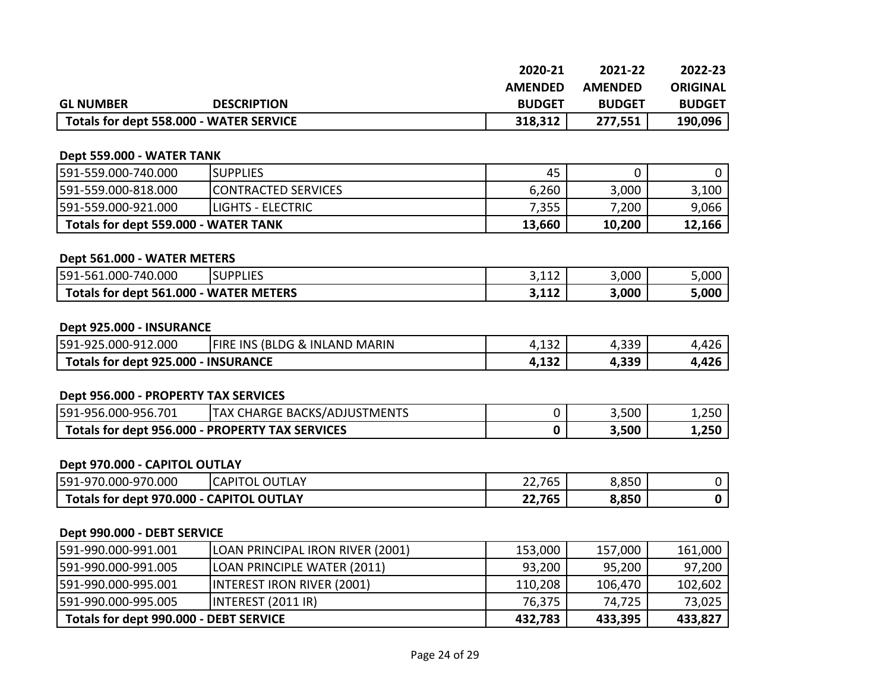|                  |                                         | 2020-21        | 2021-22        | 2022-23         |
|------------------|-----------------------------------------|----------------|----------------|-----------------|
|                  |                                         | <b>AMENDED</b> | <b>AMENDED</b> | <b>ORIGINAL</b> |
| <b>GL NUMBER</b> | <b>DESCRIPTION</b>                      | <b>BUDGET</b>  | <b>BUDGET</b>  | <b>BUDGET</b>   |
|                  | Totals for dept 558.000 - WATER SERVICE | 318,312        | 277,551        | 190,096         |

#### **Dept 559.000 - WATER TANK**

| 591-559.000-740.000                  | <b>ISUPPLIES</b>           | 45     |        |        |
|--------------------------------------|----------------------------|--------|--------|--------|
| 591-559.000-818.000                  | <b>CONTRACTED SERVICES</b> | 6,260  | 3,000  | 3,100  |
| 591-559.000-921.000                  | <b>ILIGHTS - ELECTRIC</b>  | 7,355  | 7,200  | 9,066  |
| Totals for dept 559.000 - WATER TANK |                            | 13,660 | 10,200 | 12,166 |

#### **Dept 561.000 - WATER METERS**

| 591-561.000-<br>.000<br>740                                                                    | <b>SUPPLIES</b> | 2.112<br><u>J.LIZ</u> | 3,000 | 5,000 |
|------------------------------------------------------------------------------------------------|-----------------|-----------------------|-------|-------|
| .000<br><b>TERS</b><br>MF.<br>-561<br>WA'<br><b>ATFR</b><br>Totals for <b>v</b><br><b>Rent</b> |                 | 2.117<br>J, L L Z     | 3,000 | 5,000 |

#### **Dept 925.000 - INSURANCE**

| 12.000<br><sup>2</sup> 19-000-9∆ر<br>591-925 | (BLDG &<br><b>FIRE INS</b><br><b>MARIN</b><br>INLAND | $\sim$<br>⊦,⊥⊃∠ | <b>220</b> | $\sim$     |
|----------------------------------------------|------------------------------------------------------|-----------------|------------|------------|
| <b>INSURANCE</b>                             |                                                      | 123             | ລລດ        | <b>AJC</b> |
| Totals for dept 925.000                      |                                                      | 4,194           | +,ココフ      | +,420      |

# **Dept 956.000 - PROPERTY TAX SERVICES**

| 6.000-956.701<br>591-956.                          | ั BACKS/ADJUS เ<br>$5$ TMENTS<br>CHARGE.<br>TAX U | 3,500 | 1,250 |
|----------------------------------------------------|---------------------------------------------------|-------|-------|
| Totals for dept 956.000<br>- PROPERTY TAX SERVICES |                                                   | 3,500 | 1,250 |

#### **Dept 970.000 - CAPITOL OUTLAY**

| 591-970.000-970.000                           | <b>CAPITOL</b><br><b>OUTLAY</b> | 22,765 | 8,850 |  |
|-----------------------------------------------|---------------------------------|--------|-------|--|
| Totals for dept 970.000 - CAPITOL<br>L OUTLAY |                                 | 22,765 | 8,850 |  |

#### **Dept 990.000 - DEBT SERVICE**

| 1591-990.000-991.001                   | LOAN PRINCIPAL IRON RIVER (2001)   | 153,000 | 157,000 | 161,000 |
|----------------------------------------|------------------------------------|---------|---------|---------|
| 591-990.000-991.005                    | <b>LOAN PRINCIPLE WATER (2011)</b> | 93,200  | 95,200  | 97,200  |
| 591-990.000-995.001                    | INTEREST IRON RIVER (2001)         | 110,208 | 106,470 | 102,602 |
| 591-990.000-995.005                    | INTEREST (2011 IR)                 | 76,375  | 74,725  | 73,025  |
| Totals for dept 990.000 - DEBT SERVICE |                                    | 432,783 | 433,395 | 433,827 |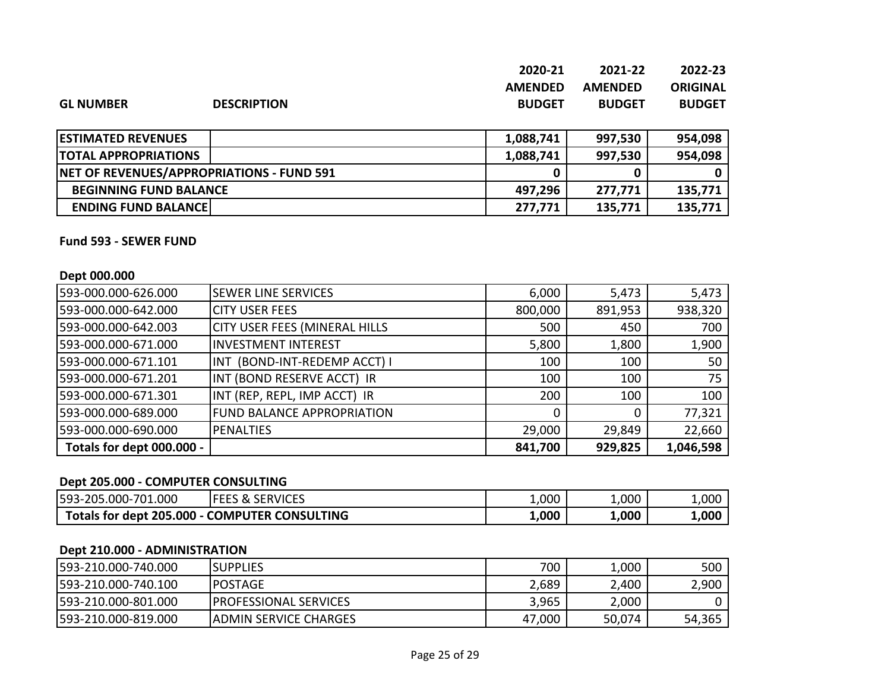|                  |                    | 2020-21        | 2021-22        | 2022-23       |
|------------------|--------------------|----------------|----------------|---------------|
|                  |                    | <b>AMENDED</b> | <b>AMENDED</b> | ORIGINAL      |
| <b>GL NUMBER</b> | <b>DESCRIPTION</b> | <b>BUDGET</b>  | <b>BUDGET</b>  | <b>BUDGET</b> |

| <b>ESTIMATED REVENUES</b>                 | 1,088,741 | 997,530 | 954,098 |
|-------------------------------------------|-----------|---------|---------|
| <b>TOTAL APPROPRIATIONS</b>               | 1,088,741 | 997,530 | 954,098 |
| NET OF REVENUES/APPROPRIATIONS - FUND 591 |           |         |         |
| <b>BEGINNING FUND BALANCE</b>             | 497,296   | 277,771 | 135,771 |
| <b>ENDING FUND BALANCE</b>                | 277,771   | 135,771 | 135,771 |

#### **Fund 593 - SEWER FUND**

#### **Dept 000.000**

| 593-000.000-626.000       | <b>SEWER LINE SERVICES</b>           | 6,000   | 5,473   | 5,473     |
|---------------------------|--------------------------------------|---------|---------|-----------|
| 593-000.000-642.000       | <b>CITY USER FEES</b>                | 800,000 | 891,953 | 938,320   |
| 593-000.000-642.003       | <b>CITY USER FEES (MINERAL HILLS</b> | 500     | 450     | 700       |
| 593-000.000-671.000       | <b>INVESTMENT INTEREST</b>           | 5,800   | 1,800   | 1,900     |
| 593-000.000-671.101       | INT (BOND-INT-REDEMP ACCT) I         | 100     | 100     | 50        |
| 593-000.000-671.201       | INT (BOND RESERVE ACCT) IR           | 100     | 100     | 75        |
| 593-000.000-671.301       | INT (REP, REPL, IMP ACCT) IR         | 200     | 100     | 100       |
| 593-000.000-689.000       | <b>FUND BALANCE APPROPRIATION</b>    |         | 0       | 77,321    |
| 593-000.000-690.000       | PENALTIES                            | 29,000  | 29,849  | 22,660    |
| Totals for dept 000.000 - |                                      | 841,700 | 929,825 | 1,046,598 |

# **Dept 205.000 - COMPUTER CONSULTING**

| 593-205.000-701.000                           | <b>SERVICES</b><br>IFEES & | 1,000 | 1,000 | 1,000 |
|-----------------------------------------------|----------------------------|-------|-------|-------|
| Totals for dept 205.000 - COMPUTER CONSULTING |                            | 1,000 | 1,000 | 1,000 |

#### **Dept 210.000 - ADMINISTRATION**

| 1593-210.000-740.000 | <b>ISUPPLIES</b>              | 700    | 1,000  | 500    |
|----------------------|-------------------------------|--------|--------|--------|
| 1593-210.000-740.100 | <b>IPOSTAGE</b>               | 2,689  | 2,400  | 2,900  |
| 1593-210.000-801.000 | <b>IPROFESSIONAL SERVICES</b> | 3,965  | 2,000  |        |
| 1593-210.000-819.000 | <b>JADMIN SERVICE CHARGES</b> | 47,000 | 50,074 | 54,365 |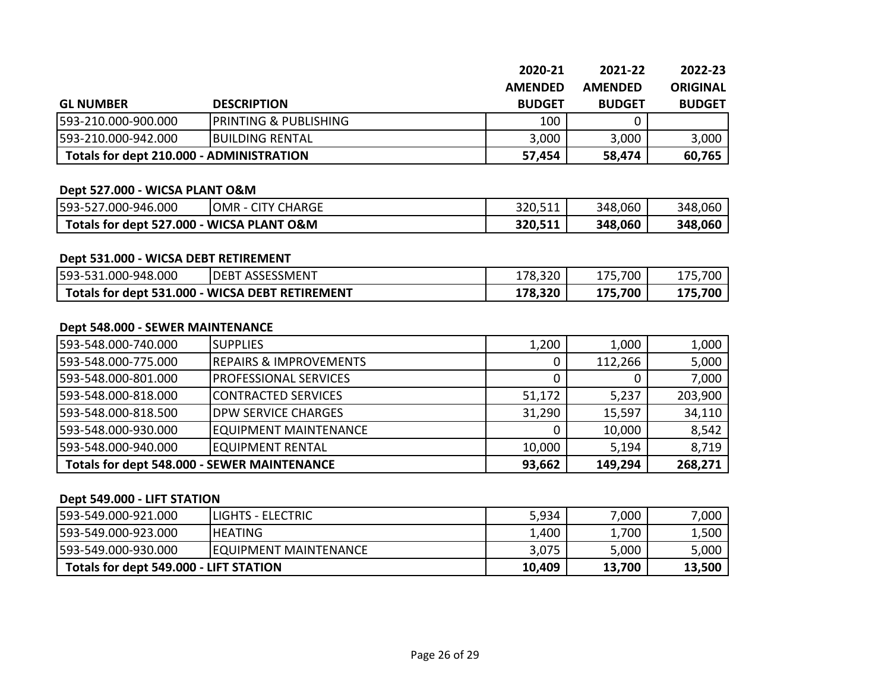|                                          |                                  | 2020-21        | 2021-22        | 2022-23         |
|------------------------------------------|----------------------------------|----------------|----------------|-----------------|
|                                          |                                  | <b>AMENDED</b> | <b>AMENDED</b> | <b>ORIGINAL</b> |
| <b>GL NUMBER</b>                         | <b>DESCRIPTION</b>               | <b>BUDGET</b>  | <b>BUDGET</b>  | <b>BUDGET</b>   |
| 593-210.000-900.000                      | <b>PRINTING &amp; PUBLISHING</b> | 100            |                |                 |
| 593-210.000-942.000                      | <b>IBUILDING RENTAL</b>          | 3,000          | 3,000          | 3,000           |
| Totals for dept 210.000 - ADMINISTRATION |                                  | 57,454         | 58,474         | 60,765          |

#### **Dept 527.000 - WICSA PLANT O&M**

| 593-527.000-946.000                       | <b>JOMR - CITY CHARGE</b> | 320,511 | 348,060 | 348,060 |
|-------------------------------------------|---------------------------|---------|---------|---------|
| Totals for dept 527.000 - WICSA PLANT O&M |                           | 320,511 | 348,060 | 348,060 |

#### **Dept 531.000 - WICSA DEBT RETIREMENT**

| 593-531.000-948.000                             | <b>IDEBT ASSESSMENT</b> | 178,320 | 175,700 | 175,700 |
|-------------------------------------------------|-------------------------|---------|---------|---------|
| Totals for dept 531.000 - WICSA DEBT RETIREMENT |                         | 178,320 | 175,700 | 175,700 |

#### **Dept 548.000 - SEWER MAINTENANCE**

| 1593-548.000-740.000                               | <b>I</b> SUPPLIES                 | 1,200  | 1,000   | 1,000   |
|----------------------------------------------------|-----------------------------------|--------|---------|---------|
| 593-548.000-775.000                                | <b>REPAIRS &amp; IMPROVEMENTS</b> |        | 112,266 | 5,000   |
| 593-548.000-801.000                                | <b>PROFESSIONAL SERVICES</b>      |        | 0       | 7,000   |
| 593-548.000-818.000                                | CONTRACTED SERVICES               | 51,172 | 5,237   | 203,900 |
| 593-548.000-818.500                                | <b>DPW SERVICE CHARGES</b>        | 31,290 | 15,597  | 34,110  |
| 593-548.000-930.000                                | EQUIPMENT MAINTENANCE             |        | 10,000  | 8,542   |
| 593-548.000-940.000                                | <b>EQUIPMENT RENTAL</b>           | 10,000 | 5,194   | 8,719   |
| <b>Totals for dept 548.000 - SEWER MAINTENANCE</b> |                                   | 93,662 | 149,294 | 268,271 |

#### **Dept 549.000 - LIFT STATION**

| 593-549.000-921.000                    | <b>ILIGHTS - ELECTRIC</b>    | 5,934  | 7,000  | 7,000  |
|----------------------------------------|------------------------------|--------|--------|--------|
| 593-549.000-923.000                    | <b>IHEATING</b>              | 1,400  | 1,700  | 1,500  |
| 593-549.000-930.000                    | <b>EQUIPMENT MAINTENANCE</b> | 3,075  | 5,000  | 5,000  |
| Totals for dept 549.000 - LIFT STATION |                              | 10,409 | 13,700 | 13,500 |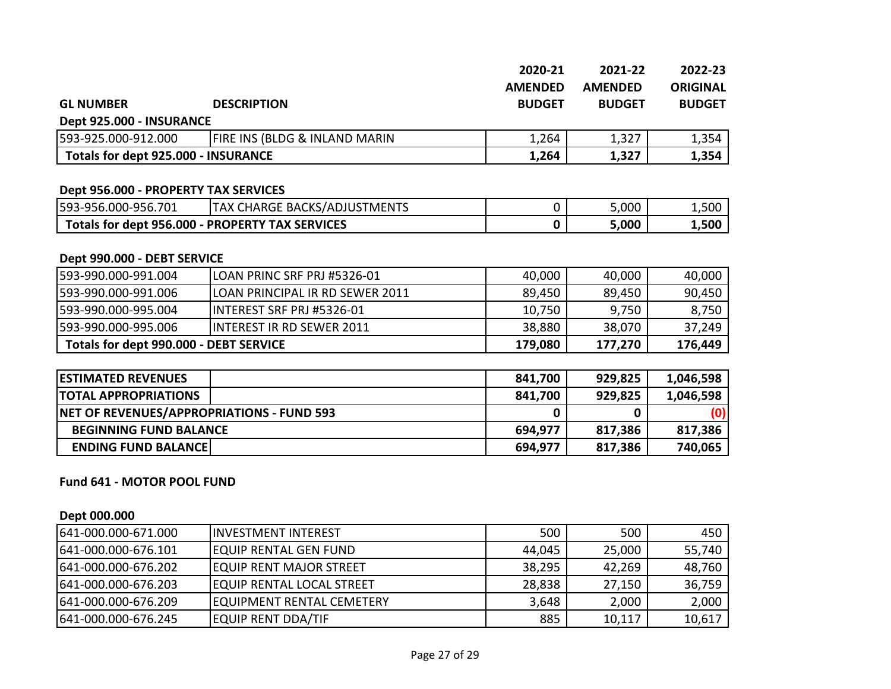|                                            |                                                 | 2020-21        | 2021-22        | 2022-23         |
|--------------------------------------------|-------------------------------------------------|----------------|----------------|-----------------|
|                                            |                                                 | <b>AMENDED</b> | <b>AMENDED</b> | <b>ORIGINAL</b> |
| <b>GL NUMBER</b>                           | <b>DESCRIPTION</b>                              | <b>BUDGET</b>  | <b>BUDGET</b>  | <b>BUDGET</b>   |
| Dept 925.000 - INSURANCE                   |                                                 |                |                |                 |
| 593-925.000-912.000                        | FIRE INS (BLDG & INLAND MARIN                   | 1,264          | 1,327          | 1,354           |
| <b>Totals for dept 925.000 - INSURANCE</b> |                                                 | 1,264          | 1,327          | 1,354           |
|                                            |                                                 |                |                |                 |
| Dept 956.000 - PROPERTY TAX SERVICES       |                                                 |                |                |                 |
| 593-956.000-956.701                        | <b>TAX CHARGE BACKS/ADJUSTMENTS</b>             | 0              | 5,000          | 1,500           |
|                                            | Totals for dept 956.000 - PROPERTY TAX SERVICES | 0              | 5,000          | 1,500           |
|                                            |                                                 |                |                |                 |
| Dept 990.000 - DEBT SERVICE                |                                                 |                |                |                 |
| 593-990.000-991.004                        | LOAN PRINC SRF PRJ #5326-01                     | 40,000         | 40,000         | 40,000          |
| 593-990.000-991.006                        | LOAN PRINCIPAL IR RD SEWER 2011                 | 89,450         | 89,450         | 90,450          |
| 593-990.000-995.004                        | INTEREST SRF PRJ #5326-01                       | 10,750         | 9,750          | 8,750           |
| LEND NAN NAN NAE NA <i>E</i>               | INITEDECT ID DD CEWED 2011                      | 20000          | 20.070         | 27.240          |

| 593-990.000-995.006                    | <b>IINTEREST IR RD SEWER 2011</b> | 38.880  | 38.070  | 37.249  |
|----------------------------------------|-----------------------------------|---------|---------|---------|
| Totals for dept 990.000 - DEBT SERVICE |                                   | 179,080 | 177,270 | 176,449 |
|                                        |                                   |         |         |         |

| <b>ESTIMATED REVENUES</b>                 | 841,700 | 929,825 | 1,046,598 |
|-------------------------------------------|---------|---------|-----------|
| <b>ITOTAL APPROPRIATIONS</b>              | 841,700 | 929,825 | 1,046,598 |
| NET OF REVENUES/APPROPRIATIONS - FUND 593 |         |         | (0)       |
| <b>BEGINNING FUND BALANCE</b>             | 694,977 | 817,386 | 817,386   |
| <b>ENDING FUND BALANCE</b>                | 694,977 | 817,386 | 740,065   |

#### **Fund 641 - MOTOR POOL FUND**

#### **Dept 000.000**

| 641-000.000-671.000  | lINVESTMENT INTEREST             | 500    | 500    | 450    |
|----------------------|----------------------------------|--------|--------|--------|
| 1641-000.000-676.101 | <b>EQUIP RENTAL GEN FUND</b>     | 44,045 | 25,000 | 55,740 |
| 1641-000.000-676.202 | <b>EQUIP RENT MAJOR STREET</b>   | 38,295 | 42,269 | 48,760 |
| 1641-000.000-676.203 | <b>EQUIP RENTAL LOCAL STREET</b> | 28,838 | 27,150 | 36,759 |
| 1641-000.000-676.209 | <b>EQUIPMENT RENTAL CEMETERY</b> | 3,648  | 2,000  | 2,000  |
| 641-000.000-676.245  | <b>EQUIP RENT DDA/TIF</b>        | 885    | 10,117 | 10,617 |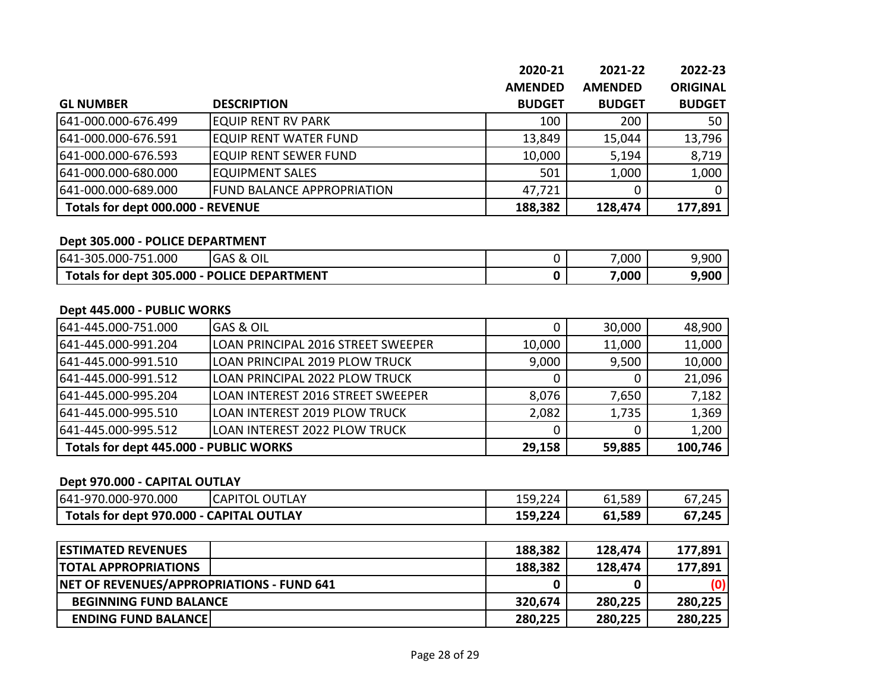|                                   |                                   | 2020-21        | 2021-22        | 2022-23         |
|-----------------------------------|-----------------------------------|----------------|----------------|-----------------|
|                                   |                                   | <b>AMENDED</b> | <b>AMENDED</b> | <b>ORIGINAL</b> |
| <b>GL NUMBER</b>                  | <b>DESCRIPTION</b>                | <b>BUDGET</b>  | <b>BUDGET</b>  | <b>BUDGET</b>   |
| 641-000.000-676.499               | <b>EQUIP RENT RV PARK</b>         | 100            | 200            | 50              |
| 641-000.000-676.591               | <b>EQUIP RENT WATER FUND</b>      | 13,849         | 15,044         | 13,796          |
| 641-000.000-676.593               | <b>EQUIP RENT SEWER FUND</b>      | 10,000         | 5,194          | 8,719           |
| 641-000.000-680.000               | <b>EQUIPMENT SALES</b>            | 501            | 1,000          | 1,000           |
| 641-000.000-689.000               | <b>FUND BALANCE APPROPRIATION</b> | 47,721         | 0              |                 |
| Totals for dept 000.000 - REVENUE |                                   | 188,382        | 128,474        | 177,891         |

#### **Dept 305.000 - POLICE DEPARTMENT**

| 1.000<br>641<br>1-305.000-7<br>751. | OIL<br><b>GAS &amp;</b> | ,000<br>$\overline{\phantom{a}}$ | 9,900 |
|-------------------------------------|-------------------------|----------------------------------|-------|
| Totals for dept 305.000<br>. .      | - POLICE DEPARTMENT     | 000,′                            | 9,900 |

#### **Dept 445.000 - PUBLIC WORKS**

| 641-445.000-751.000                    | <b>GAS &amp; OIL</b>                  |        | 30,000 | 48,900  |
|----------------------------------------|---------------------------------------|--------|--------|---------|
| 641-445.000-991.204                    | LOAN PRINCIPAL 2016 STREET SWEEPER    | 10,000 | 11,000 | 11,000  |
| 641-445.000-991.510                    | <b>LOAN PRINCIPAL 2019 PLOW TRUCK</b> | 9,000  | 9,500  | 10,000  |
| 641-445.000-991.512                    | LOAN PRINCIPAL 2022 PLOW TRUCK        |        |        | 21,096  |
| 641-445.000-995.204                    | ILOAN INTEREST 2016 STREET SWEEPER    | 8,076  | 7,650  | 7,182   |
| 641-445.000-995.510                    | lloan Interest 2019 Plow Truck        | 2,082  | 1,735  | 1,369   |
| 641-445.000-995.512                    | LOAN INTEREST 2022 PLOW TRUCK         |        |        | 1,200   |
| Totals for dept 445.000 - PUBLIC WORKS |                                       | 29,158 | 59,885 | 100,746 |

#### **Dept 970.000 - CAPITAL OUTLAY**

| 641<br>-970.000-970.000           | <b>CAPITO</b><br><b>OUTLAY</b> | ا 9,224د⊾     | 61,589 | 67,245 |
|-----------------------------------|--------------------------------|---------------|--------|--------|
| Totals for dept 970.000 - CAPITAL | <b>OUTLAY</b>                  | 224<br>159,22 | 61,589 | 67,245 |

| <b>IESTIMATED REVENUES</b>                       | 188,382 | 128,474 | 177,891 |
|--------------------------------------------------|---------|---------|---------|
| <b>ITOTAL APPROPRIATIONS</b>                     | 188,382 | 128,474 | 177,891 |
| <b>NET OF REVENUES/APPROPRIATIONS - FUND 641</b> |         |         |         |
| <b>BEGINNING FUND BALANCE</b>                    | 320,674 | 280,225 | 280,225 |
| <b>ENDING FUND BALANCE</b>                       | 280,225 | 280,225 | 280,225 |